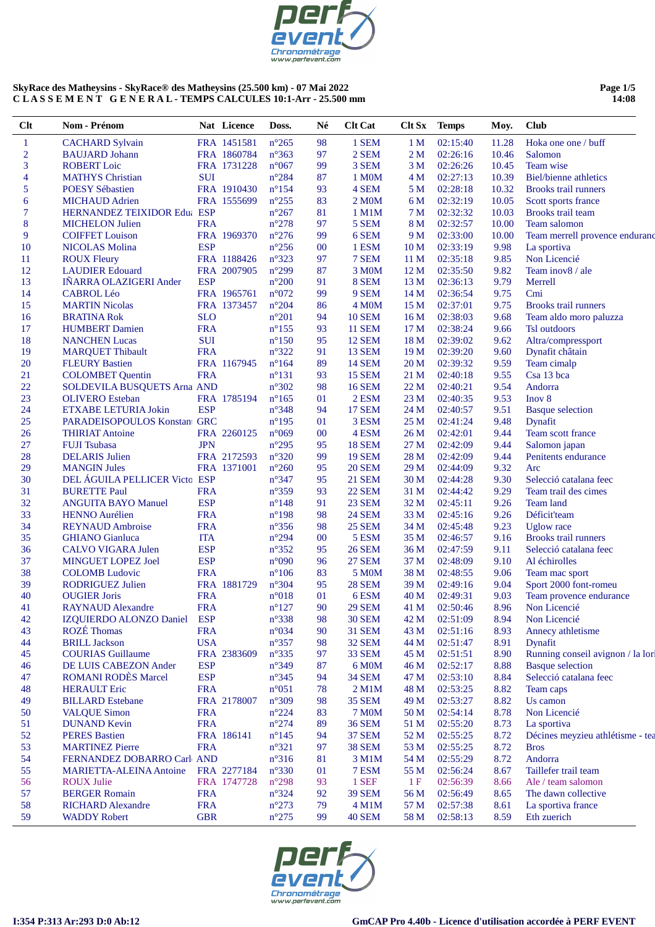

#### **Page 1/5 14:08**

| <b>CACHARD Sylvain</b><br>FRA 1451581<br>$n^{\circ}265$<br>98<br>1 SEM<br>02:15:40<br>11.28<br>Hoka one one / buff<br>$\mathbf{1}$<br>1 <sub>M</sub><br>$\overline{c}$<br>$n^{\circ}363$<br>97<br>2 SEM<br>02:26:16<br>10.46<br>Salomon<br><b>BAUJARD</b> Johann<br>FRA 1860784<br>2 <sub>M</sub><br>3<br>3 SEM<br>Team wise<br><b>ROBERT</b> Loic<br>FRA 1731228<br>$n^{\circ}067$<br>99<br>3 M<br>02:26:26<br>10.45<br>02:27:13<br>10.39<br><b>MATHYS Christian</b><br><b>SUI</b><br>$n^{\circ}284$<br>87<br>1 M <sub>0</sub> M<br><b>Biel/bienne</b> athletics<br>4<br>4 M<br>5<br>FRA 1910430<br>$n^{\circ}154$<br>93<br>4 SEM<br>02:28:18<br>10.32<br><b>Brooks trail runners</b><br><b>POESY Sébastien</b><br>5 M<br>02:32:19<br>10.05<br>Scott sports france<br><b>MICHAUD Adrien</b><br>FRA 1555699<br>$n^{\circ}255$<br>83<br>2 M <sub>0</sub> M<br>6 M<br>6<br>7<br>HERNANDEZ TEIXIDOR Edua ESP<br>$n^{\circ}267$<br>02:32:32<br>10.03<br>81<br>1 M1M<br>7 M<br>Brooks trail team<br>8<br><b>FRA</b><br>97<br>5 SEM<br>02:32:57<br>10.00<br><b>MICHELON Julien</b><br>$n^{\circ}278$<br>8 M<br>Team salomon<br>9<br>$n^{\circ}276$<br>FRA 1969370<br>99<br>6 SEM<br>02:33:00<br>10.00<br>Team merrell provence enduranc<br><b>COIFFET Louison</b><br>9 M<br>10<br><b>ESP</b><br>02:33:19<br>La sportiva<br><b>NICOLAS Molina</b><br>$n^{\circ}256$<br>1 ESM<br>10 <sub>M</sub><br>9.98<br>$00\,$<br>02:35:18<br>9.85<br>Non Licencié<br>11<br>FRA 1188426<br>$n^{\circ}323$<br>97<br>7 SEM<br><b>ROUX Fleury</b><br>11 <sub>M</sub><br>12<br>$n^{\circ}299$<br>02:35:50<br>9.82<br><b>LAUDIER Edouard</b><br>FRA 2007905<br>87<br>3 M <sub>0</sub> M<br>12 <sub>M</sub><br>Team inov8 / ale<br>13<br><b>ESP</b><br>9.79<br><b>INARRA OLAZIGERI Ander</b><br>$n^{\circ}200$<br>91<br>8 SEM<br>13 <sub>M</sub><br>02:36:13<br>Merrell<br>14<br>02:36:54<br>9.75<br>Cmi<br><b>CABROL Léo</b><br>FRA 1965761<br>$n^{\circ}072$<br>99<br>9 SEM<br>14 <sub>M</sub><br>15<br>02:37:01<br><b>MARTIN Nicolas</b><br>FRA 1373457<br>$n^{\circ}204$<br>86<br>4 M <sub>O</sub> M<br>15 <sub>M</sub><br>9.75<br><b>Brooks</b> trail runners<br>16<br><b>SLO</b><br><b>10 SEM</b><br>02:38:03<br><b>BRATINA Rok</b><br>$n^{\circ}201$<br>94<br>16 <sub>M</sub><br>9.68<br>Team aldo moro paluzza<br><b>FRA</b><br>17<br>$n^{\circ}155$<br>93<br><b>11 SEM</b><br>02:38:24<br>9.66<br>Tsl outdoors<br><b>HUMBERT</b> Damien<br>17 <sub>M</sub><br>18<br><b>SUI</b><br>02:39:02<br><b>NANCHEN Lucas</b><br>$n^{\circ}150$<br>95<br><b>12 SEM</b><br>18 <sub>M</sub><br>9.62<br>Altra/compressport<br>19<br><b>FRA</b><br>$n^{\circ}322$<br><b>13 SEM</b><br>02:39:20<br><b>MARQUET Thibault</b><br>91<br>19 <sub>M</sub><br>9.60<br>Dynafit châtain<br>20<br>FRA 1167945<br>02:39:32<br>9.59<br><b>FLEURY Bastien</b><br>$n^{\circ}164$<br>89<br><b>14 SEM</b><br>20 <sub>M</sub><br>Team cimalp<br>21<br><b>FRA</b><br>$n^{\circ}131$<br>93<br><b>15 SEM</b><br>02:40:18<br>9.55<br>Csa 13 bca<br><b>COLOMBET Quentin</b><br>21 M<br>22<br>$n^{\circ}302$<br>Andorra<br>SOLDEVILA BUSQUETS Arna AND<br>98<br><b>16 SEM</b><br>22 M<br>02:40:21<br>9.54<br>23<br>9.53<br><b>OLIVERO</b> Esteban<br>FRA 1785194<br>$n^{\circ}165$<br>01<br>2 ESM<br>23 M<br>02:40:35<br>Inov 8<br><b>ESP</b><br>24<br>n°348<br><b>17 SEM</b><br>9.51<br>ETXABE LETURIA Jokin<br>94<br>24 M<br>02:40:57<br><b>Basque selection</b><br>25<br>PARADEISOPOULOS Konstant GRC<br>3 ESM<br>9.48<br>$n^{\circ}195$<br>01<br>25 M<br>02:41:24<br>Dynafit<br>26<br><b>THIRIAT Antoine</b><br>FRA 2260125<br>$n^{\circ}069$<br>00<br>4 ESM<br>26 M<br>02:42:01<br>9.44<br>Team scott france<br>27<br><b>JPN</b><br>$n^{\circ}295$<br><b>18 SEM</b><br>9.44<br><b>FUJI Tsubasa</b><br>95<br>27 M<br>02:42:09<br>Salomon japan<br>28<br>$n^{\circ}320$<br>9.44<br><b>DELARIS</b> Julien<br>FRA 2172593<br>99<br><b>19 SEM</b><br>28 M<br>02:42:09<br>Penitents endurance<br>29<br><b>20 SEM</b><br>9.32<br><b>MANGIN Jules</b><br>FRA 1371001<br>$n^{\circ}260$<br>95<br>29 M<br>02:44:09<br>Arc<br>30<br>DEL ÁGUILA PELLICER Victo ESP<br>$n^{\circ}347$<br>95<br><b>21 SEM</b><br>30 M<br>02:44:28<br>9.30<br>Selecció catalana feec<br>31<br>02:44:42<br><b>BURETTE Paul</b><br><b>FRA</b><br>$n^{\circ}359$<br>93<br><b>22 SEM</b><br>31 M<br>9.29<br>Team trail des cimes<br>32<br><b>ESP</b><br><b>ANGUITA BAYO Manuel</b><br>$n^{\circ}148$<br>91<br><b>23 SEM</b><br>32 M<br>02:45:11<br>9.26<br>Team land<br>33<br><b>FRA</b><br><b>24 SEM</b><br><b>HENNO Aurélien</b><br>$n^{\circ}198$<br>98<br>33 M<br>02:45:16<br>9.26<br>Déficit'team<br>34<br><b>FRA</b><br>$n^{\circ}356$<br>98<br><b>25 SEM</b><br>02:45:48<br>9.23<br><b>Uglow</b> race<br><b>REYNAUD</b> Ambroise<br>34 M<br>35<br><b>ITA</b><br>5 ESM<br><b>Brooks trail runners</b><br><b>GHIANO</b> Gianluca<br>$n^{\circ}294$<br>00<br>35 M<br>02:46:57<br>9.16<br><b>ESP</b><br>36<br><b>CALVO VIGARA Julen</b><br>$n^{\circ}352$<br>95<br><b>26 SEM</b><br>36 M<br>02:47:59<br>9.11<br>Selecció catalana feec<br>37<br><b>ESP</b><br><b>27 SEM</b><br>9.10<br>MINGUET LOPEZ Joel<br>$n^{\circ}090$<br>96<br>37 M<br>02:48:09<br>Al échirolles<br>38<br><b>FRA</b><br>$n^{\circ}106$<br>83<br>5 M0M<br>38 M<br>02:48:55<br>9.06<br><b>COLOMB</b> Ludovic<br>Team mac sport<br>39<br><b>RODRIGUEZ Julien</b><br>FRA 1881729<br>$n^{\circ}304$<br>95<br><b>28 SEM</b><br>39 M<br>02:49:16<br>9.04<br>Sport 2000 font-romeu<br>40<br>01<br><b>OUGIER Joris</b><br><b>FRA</b><br>n°018<br>6ESM<br>40 M<br>02:49:31<br>9.03<br>Team provence endurance<br>8.96<br><b>FRA</b><br>$n^{\circ}127$<br>90<br><b>29 SEM</b><br>02:50:46<br>41<br><b>RAYNAUD Alexandre</b><br>41 M<br>Non Licencié<br>IZQUIERDO ALONZO Daniel ESP<br>42<br>$n^{\circ}338$<br>98<br><b>30 SEM</b><br>02:51:09<br>8.94<br>Non Licencié<br>42 M<br><b>ROZÉ</b> Thomas<br><b>FRA</b><br>$n^{\circ}034$<br><b>31 SEM</b><br>43 M<br>02:51:16<br>8.93<br>Annecy athletisme<br>43<br>90<br><b>BRILL Jackson</b><br><b>USA</b><br>$n^{\circ}357$<br>44<br>32 SEM<br>44 M<br>02:51:47<br>8.91<br>Dynafit<br>98<br><b>COURIAS</b> Guillaume<br>45<br>FRA 2383609<br>$n^{\circ}335$<br>97<br>33 SEM<br>02:51:51<br>8.90<br>45 M<br>DE LUIS CABEZON Ander<br><b>ESP</b><br>$n^{\circ}349$<br>6 M0M<br>02:52:17<br>8.88<br><b>Basque selection</b><br>46<br>87<br>46 M<br><b>ROMANI RODÈS Marcel</b><br><b>ESP</b><br>Selecció catalana feec<br>$n^{\circ}345$<br><b>34 SEM</b><br>47 M<br>02:53:10<br>47<br>94<br>8.84<br><b>HERAULT Eric</b><br><b>FRA</b><br>02:53:25<br>48<br>$n^{\circ}051$<br>$2$ M $1$ M<br>48 M<br>8.82<br>Team caps<br>78<br>49<br><b>BILLARD</b> Estebane<br>FRA 2178007<br>$n^{\circ}309$<br><b>35 SEM</b><br>02:53:27<br>8.82<br>Us camon<br>98<br>49 M<br><b>VALQUE Simon</b><br><b>FRA</b><br>$n^{\circ}224$<br><b>7 M0M</b><br>02:54:14<br>8.78<br>Non Licencié<br>50<br>83<br>50 M<br>51<br><b>DUNAND</b> Kevin<br><b>FRA</b><br>$n^{\circ}274$<br><b>36 SEM</b><br>02:55:20<br>8.73<br>La sportiva<br>89<br>51 M<br><b>PERES Bastien</b><br>52<br>FRA 186141<br>$n^{\circ}145$<br><b>37 SEM</b><br>52 M<br>02:55:25<br>8.72<br>Décines meyzieu athlétisme - tea<br>94<br><b>FRA</b><br>53<br><b>MARTINEZ Pierre</b><br>$n^{\circ}321$<br>97<br><b>38 SEM</b><br>02:55:25<br>8.72<br><b>Bros</b><br>53 M<br>Andorra<br>54<br>FERNANDEZ DOBARRO Carl AND<br>$n^{\circ}316$<br>3 M1M<br>54 M<br>02:55:29<br>8.72<br>81<br>55<br>FRA 2277184<br>8.67<br>Taillefer trail team<br><b>MARIETTA-ALEINA Antoine</b><br>$n^{\circ}330$<br>01<br>7 ESM<br>55 M<br>02:56:24<br>1 SEF<br>Ale / team salomon<br>56<br><b>ROUX Julie</b><br>FRA 1747728<br>1F<br>02:56:39<br>$n^{\circ}298$<br>93<br>8.66<br>57<br><b>BERGER Romain</b><br><b>FRA</b><br>$n^{\circ}324$<br><b>39 SEM</b><br>02:56:49<br>The dawn collective<br>92<br>56 M<br>8.65<br><b>FRA</b><br>58<br><b>RICHARD Alexandre</b><br>$n^{\circ}273$<br>4 M1M<br>02:57:38<br>La sportiva france<br>79<br>57 M<br>8.61 | $Cl$ t | Nom - Prénom        |            | Nat Licence | Doss.          | Né | <b>Clt Cat</b> | $C$ It $Sx$ | <b>Temps</b> | Moy. | <b>Club</b>                       |
|----------------------------------------------------------------------------------------------------------------------------------------------------------------------------------------------------------------------------------------------------------------------------------------------------------------------------------------------------------------------------------------------------------------------------------------------------------------------------------------------------------------------------------------------------------------------------------------------------------------------------------------------------------------------------------------------------------------------------------------------------------------------------------------------------------------------------------------------------------------------------------------------------------------------------------------------------------------------------------------------------------------------------------------------------------------------------------------------------------------------------------------------------------------------------------------------------------------------------------------------------------------------------------------------------------------------------------------------------------------------------------------------------------------------------------------------------------------------------------------------------------------------------------------------------------------------------------------------------------------------------------------------------------------------------------------------------------------------------------------------------------------------------------------------------------------------------------------------------------------------------------------------------------------------------------------------------------------------------------------------------------------------------------------------------------------------------------------------------------------------------------------------------------------------------------------------------------------------------------------------------------------------------------------------------------------------------------------------------------------------------------------------------------------------------------------------------------------------------------------------------------------------------------------------------------------------------------------------------------------------------------------------------------------------------------------------------------------------------------------------------------------------------------------------------------------------------------------------------------------------------------------------------------------------------------------------------------------------------------------------------------------------------------------------------------------------------------------------------------------------------------------------------------------------------------------------------------------------------------------------------------------------------------------------------------------------------------------------------------------------------------------------------------------------------------------------------------------------------------------------------------------------------------------------------------------------------------------------------------------------------------------------------------------------------------------------------------------------------------------------------------------------------------------------------------------------------------------------------------------------------------------------------------------------------------------------------------------------------------------------------------------------------------------------------------------------------------------------------------------------------------------------------------------------------------------------------------------------------------------------------------------------------------------------------------------------------------------------------------------------------------------------------------------------------------------------------------------------------------------------------------------------------------------------------------------------------------------------------------------------------------------------------------------------------------------------------------------------------------------------------------------------------------------------------------------------------------------------------------------------------------------------------------------------------------------------------------------------------------------------------------------------------------------------------------------------------------------------------------------------------------------------------------------------------------------------------------------------------------------------------------------------------------------------------------------------------------------------------------------------------------------------------------------------------------------------------------------------------------------------------------------------------------------------------------------------------------------------------------------------------------------------------------------------------------------------------------------------------------------------------------------------------------------------------------------------------------------------------------------------------------------------------------------------------------------------------------------------------------------------------------------------------------------------------------------------------------------------------------------------------------------------------------------------------------------------------------------------------------------------------------------------------------------------------------------------------------------------------------------------------------------------------------------------------------------------------------------------------------------------------------------------------------------------------------------------------------------------------------------------------------------------------------------------------------------------------------------------------------------------------------------------------------------------------------------------------------------------------------------------------------------------------------------------------------------------------------------------------------------------------------------------------------------------------------------------------------------------------------------------------------------------------------------------------------------------------------------------------------------------------------------------------------------------------------------------------------------------------------------------------------------------------------------------------------------------------------------------------------------------------------------------------------------------------------------------------------------------------------------------------------------------------------------------------------------------------------------------------------------------------------------------------------------------------------------------------------------------------------------------------------------------------------------------------------------------------------------------------------------------------|--------|---------------------|------------|-------------|----------------|----|----------------|-------------|--------------|------|-----------------------------------|
|                                                                                                                                                                                                                                                                                                                                                                                                                                                                                                                                                                                                                                                                                                                                                                                                                                                                                                                                                                                                                                                                                                                                                                                                                                                                                                                                                                                                                                                                                                                                                                                                                                                                                                                                                                                                                                                                                                                                                                                                                                                                                                                                                                                                                                                                                                                                                                                                                                                                                                                                                                                                                                                                                                                                                                                                                                                                                                                                                                                                                                                                                                                                                                                                                                                                                                                                                                                                                                                                                                                                                                                                                                                                                                                                                                                                                                                                                                                                                                                                                                                                                                                                                                                                                                                                                                                                                                                                                                                                                                                                                                                                                                                                                                                                                                                                                                                                                                                                                                                                                                                                                                                                                                                                                                                                                                                                                                                                                                                                                                                                                                                                                                                                                                                                                                                                                                                                                                                                                                                                                                                                                                                                                                                                                                                                                                                                                                                                                                                                                                                                                                                                                                                                                                                                                                                                                                                                                                                                                                                                                                                                                                                                                                                                                                                                                                                                                                                                                                                                                                                                                                                                                                                                                                                                                                                                                                                                                                                                                                                                    |        |                     |            |             |                |    |                |             |              |      |                                   |
|                                                                                                                                                                                                                                                                                                                                                                                                                                                                                                                                                                                                                                                                                                                                                                                                                                                                                                                                                                                                                                                                                                                                                                                                                                                                                                                                                                                                                                                                                                                                                                                                                                                                                                                                                                                                                                                                                                                                                                                                                                                                                                                                                                                                                                                                                                                                                                                                                                                                                                                                                                                                                                                                                                                                                                                                                                                                                                                                                                                                                                                                                                                                                                                                                                                                                                                                                                                                                                                                                                                                                                                                                                                                                                                                                                                                                                                                                                                                                                                                                                                                                                                                                                                                                                                                                                                                                                                                                                                                                                                                                                                                                                                                                                                                                                                                                                                                                                                                                                                                                                                                                                                                                                                                                                                                                                                                                                                                                                                                                                                                                                                                                                                                                                                                                                                                                                                                                                                                                                                                                                                                                                                                                                                                                                                                                                                                                                                                                                                                                                                                                                                                                                                                                                                                                                                                                                                                                                                                                                                                                                                                                                                                                                                                                                                                                                                                                                                                                                                                                                                                                                                                                                                                                                                                                                                                                                                                                                                                                                                                    |        |                     |            |             |                |    |                |             |              |      |                                   |
|                                                                                                                                                                                                                                                                                                                                                                                                                                                                                                                                                                                                                                                                                                                                                                                                                                                                                                                                                                                                                                                                                                                                                                                                                                                                                                                                                                                                                                                                                                                                                                                                                                                                                                                                                                                                                                                                                                                                                                                                                                                                                                                                                                                                                                                                                                                                                                                                                                                                                                                                                                                                                                                                                                                                                                                                                                                                                                                                                                                                                                                                                                                                                                                                                                                                                                                                                                                                                                                                                                                                                                                                                                                                                                                                                                                                                                                                                                                                                                                                                                                                                                                                                                                                                                                                                                                                                                                                                                                                                                                                                                                                                                                                                                                                                                                                                                                                                                                                                                                                                                                                                                                                                                                                                                                                                                                                                                                                                                                                                                                                                                                                                                                                                                                                                                                                                                                                                                                                                                                                                                                                                                                                                                                                                                                                                                                                                                                                                                                                                                                                                                                                                                                                                                                                                                                                                                                                                                                                                                                                                                                                                                                                                                                                                                                                                                                                                                                                                                                                                                                                                                                                                                                                                                                                                                                                                                                                                                                                                                                                    |        |                     |            |             |                |    |                |             |              |      |                                   |
|                                                                                                                                                                                                                                                                                                                                                                                                                                                                                                                                                                                                                                                                                                                                                                                                                                                                                                                                                                                                                                                                                                                                                                                                                                                                                                                                                                                                                                                                                                                                                                                                                                                                                                                                                                                                                                                                                                                                                                                                                                                                                                                                                                                                                                                                                                                                                                                                                                                                                                                                                                                                                                                                                                                                                                                                                                                                                                                                                                                                                                                                                                                                                                                                                                                                                                                                                                                                                                                                                                                                                                                                                                                                                                                                                                                                                                                                                                                                                                                                                                                                                                                                                                                                                                                                                                                                                                                                                                                                                                                                                                                                                                                                                                                                                                                                                                                                                                                                                                                                                                                                                                                                                                                                                                                                                                                                                                                                                                                                                                                                                                                                                                                                                                                                                                                                                                                                                                                                                                                                                                                                                                                                                                                                                                                                                                                                                                                                                                                                                                                                                                                                                                                                                                                                                                                                                                                                                                                                                                                                                                                                                                                                                                                                                                                                                                                                                                                                                                                                                                                                                                                                                                                                                                                                                                                                                                                                                                                                                                                                    |        |                     |            |             |                |    |                |             |              |      |                                   |
|                                                                                                                                                                                                                                                                                                                                                                                                                                                                                                                                                                                                                                                                                                                                                                                                                                                                                                                                                                                                                                                                                                                                                                                                                                                                                                                                                                                                                                                                                                                                                                                                                                                                                                                                                                                                                                                                                                                                                                                                                                                                                                                                                                                                                                                                                                                                                                                                                                                                                                                                                                                                                                                                                                                                                                                                                                                                                                                                                                                                                                                                                                                                                                                                                                                                                                                                                                                                                                                                                                                                                                                                                                                                                                                                                                                                                                                                                                                                                                                                                                                                                                                                                                                                                                                                                                                                                                                                                                                                                                                                                                                                                                                                                                                                                                                                                                                                                                                                                                                                                                                                                                                                                                                                                                                                                                                                                                                                                                                                                                                                                                                                                                                                                                                                                                                                                                                                                                                                                                                                                                                                                                                                                                                                                                                                                                                                                                                                                                                                                                                                                                                                                                                                                                                                                                                                                                                                                                                                                                                                                                                                                                                                                                                                                                                                                                                                                                                                                                                                                                                                                                                                                                                                                                                                                                                                                                                                                                                                                                                                    |        |                     |            |             |                |    |                |             |              |      |                                   |
|                                                                                                                                                                                                                                                                                                                                                                                                                                                                                                                                                                                                                                                                                                                                                                                                                                                                                                                                                                                                                                                                                                                                                                                                                                                                                                                                                                                                                                                                                                                                                                                                                                                                                                                                                                                                                                                                                                                                                                                                                                                                                                                                                                                                                                                                                                                                                                                                                                                                                                                                                                                                                                                                                                                                                                                                                                                                                                                                                                                                                                                                                                                                                                                                                                                                                                                                                                                                                                                                                                                                                                                                                                                                                                                                                                                                                                                                                                                                                                                                                                                                                                                                                                                                                                                                                                                                                                                                                                                                                                                                                                                                                                                                                                                                                                                                                                                                                                                                                                                                                                                                                                                                                                                                                                                                                                                                                                                                                                                                                                                                                                                                                                                                                                                                                                                                                                                                                                                                                                                                                                                                                                                                                                                                                                                                                                                                                                                                                                                                                                                                                                                                                                                                                                                                                                                                                                                                                                                                                                                                                                                                                                                                                                                                                                                                                                                                                                                                                                                                                                                                                                                                                                                                                                                                                                                                                                                                                                                                                                                                    |        |                     |            |             |                |    |                |             |              |      |                                   |
|                                                                                                                                                                                                                                                                                                                                                                                                                                                                                                                                                                                                                                                                                                                                                                                                                                                                                                                                                                                                                                                                                                                                                                                                                                                                                                                                                                                                                                                                                                                                                                                                                                                                                                                                                                                                                                                                                                                                                                                                                                                                                                                                                                                                                                                                                                                                                                                                                                                                                                                                                                                                                                                                                                                                                                                                                                                                                                                                                                                                                                                                                                                                                                                                                                                                                                                                                                                                                                                                                                                                                                                                                                                                                                                                                                                                                                                                                                                                                                                                                                                                                                                                                                                                                                                                                                                                                                                                                                                                                                                                                                                                                                                                                                                                                                                                                                                                                                                                                                                                                                                                                                                                                                                                                                                                                                                                                                                                                                                                                                                                                                                                                                                                                                                                                                                                                                                                                                                                                                                                                                                                                                                                                                                                                                                                                                                                                                                                                                                                                                                                                                                                                                                                                                                                                                                                                                                                                                                                                                                                                                                                                                                                                                                                                                                                                                                                                                                                                                                                                                                                                                                                                                                                                                                                                                                                                                                                                                                                                                                                    |        |                     |            |             |                |    |                |             |              |      |                                   |
|                                                                                                                                                                                                                                                                                                                                                                                                                                                                                                                                                                                                                                                                                                                                                                                                                                                                                                                                                                                                                                                                                                                                                                                                                                                                                                                                                                                                                                                                                                                                                                                                                                                                                                                                                                                                                                                                                                                                                                                                                                                                                                                                                                                                                                                                                                                                                                                                                                                                                                                                                                                                                                                                                                                                                                                                                                                                                                                                                                                                                                                                                                                                                                                                                                                                                                                                                                                                                                                                                                                                                                                                                                                                                                                                                                                                                                                                                                                                                                                                                                                                                                                                                                                                                                                                                                                                                                                                                                                                                                                                                                                                                                                                                                                                                                                                                                                                                                                                                                                                                                                                                                                                                                                                                                                                                                                                                                                                                                                                                                                                                                                                                                                                                                                                                                                                                                                                                                                                                                                                                                                                                                                                                                                                                                                                                                                                                                                                                                                                                                                                                                                                                                                                                                                                                                                                                                                                                                                                                                                                                                                                                                                                                                                                                                                                                                                                                                                                                                                                                                                                                                                                                                                                                                                                                                                                                                                                                                                                                                                                    |        |                     |            |             |                |    |                |             |              |      |                                   |
|                                                                                                                                                                                                                                                                                                                                                                                                                                                                                                                                                                                                                                                                                                                                                                                                                                                                                                                                                                                                                                                                                                                                                                                                                                                                                                                                                                                                                                                                                                                                                                                                                                                                                                                                                                                                                                                                                                                                                                                                                                                                                                                                                                                                                                                                                                                                                                                                                                                                                                                                                                                                                                                                                                                                                                                                                                                                                                                                                                                                                                                                                                                                                                                                                                                                                                                                                                                                                                                                                                                                                                                                                                                                                                                                                                                                                                                                                                                                                                                                                                                                                                                                                                                                                                                                                                                                                                                                                                                                                                                                                                                                                                                                                                                                                                                                                                                                                                                                                                                                                                                                                                                                                                                                                                                                                                                                                                                                                                                                                                                                                                                                                                                                                                                                                                                                                                                                                                                                                                                                                                                                                                                                                                                                                                                                                                                                                                                                                                                                                                                                                                                                                                                                                                                                                                                                                                                                                                                                                                                                                                                                                                                                                                                                                                                                                                                                                                                                                                                                                                                                                                                                                                                                                                                                                                                                                                                                                                                                                                                                    |        |                     |            |             |                |    |                |             |              |      |                                   |
|                                                                                                                                                                                                                                                                                                                                                                                                                                                                                                                                                                                                                                                                                                                                                                                                                                                                                                                                                                                                                                                                                                                                                                                                                                                                                                                                                                                                                                                                                                                                                                                                                                                                                                                                                                                                                                                                                                                                                                                                                                                                                                                                                                                                                                                                                                                                                                                                                                                                                                                                                                                                                                                                                                                                                                                                                                                                                                                                                                                                                                                                                                                                                                                                                                                                                                                                                                                                                                                                                                                                                                                                                                                                                                                                                                                                                                                                                                                                                                                                                                                                                                                                                                                                                                                                                                                                                                                                                                                                                                                                                                                                                                                                                                                                                                                                                                                                                                                                                                                                                                                                                                                                                                                                                                                                                                                                                                                                                                                                                                                                                                                                                                                                                                                                                                                                                                                                                                                                                                                                                                                                                                                                                                                                                                                                                                                                                                                                                                                                                                                                                                                                                                                                                                                                                                                                                                                                                                                                                                                                                                                                                                                                                                                                                                                                                                                                                                                                                                                                                                                                                                                                                                                                                                                                                                                                                                                                                                                                                                                                    |        |                     |            |             |                |    |                |             |              |      |                                   |
|                                                                                                                                                                                                                                                                                                                                                                                                                                                                                                                                                                                                                                                                                                                                                                                                                                                                                                                                                                                                                                                                                                                                                                                                                                                                                                                                                                                                                                                                                                                                                                                                                                                                                                                                                                                                                                                                                                                                                                                                                                                                                                                                                                                                                                                                                                                                                                                                                                                                                                                                                                                                                                                                                                                                                                                                                                                                                                                                                                                                                                                                                                                                                                                                                                                                                                                                                                                                                                                                                                                                                                                                                                                                                                                                                                                                                                                                                                                                                                                                                                                                                                                                                                                                                                                                                                                                                                                                                                                                                                                                                                                                                                                                                                                                                                                                                                                                                                                                                                                                                                                                                                                                                                                                                                                                                                                                                                                                                                                                                                                                                                                                                                                                                                                                                                                                                                                                                                                                                                                                                                                                                                                                                                                                                                                                                                                                                                                                                                                                                                                                                                                                                                                                                                                                                                                                                                                                                                                                                                                                                                                                                                                                                                                                                                                                                                                                                                                                                                                                                                                                                                                                                                                                                                                                                                                                                                                                                                                                                                                                    |        |                     |            |             |                |    |                |             |              |      |                                   |
|                                                                                                                                                                                                                                                                                                                                                                                                                                                                                                                                                                                                                                                                                                                                                                                                                                                                                                                                                                                                                                                                                                                                                                                                                                                                                                                                                                                                                                                                                                                                                                                                                                                                                                                                                                                                                                                                                                                                                                                                                                                                                                                                                                                                                                                                                                                                                                                                                                                                                                                                                                                                                                                                                                                                                                                                                                                                                                                                                                                                                                                                                                                                                                                                                                                                                                                                                                                                                                                                                                                                                                                                                                                                                                                                                                                                                                                                                                                                                                                                                                                                                                                                                                                                                                                                                                                                                                                                                                                                                                                                                                                                                                                                                                                                                                                                                                                                                                                                                                                                                                                                                                                                                                                                                                                                                                                                                                                                                                                                                                                                                                                                                                                                                                                                                                                                                                                                                                                                                                                                                                                                                                                                                                                                                                                                                                                                                                                                                                                                                                                                                                                                                                                                                                                                                                                                                                                                                                                                                                                                                                                                                                                                                                                                                                                                                                                                                                                                                                                                                                                                                                                                                                                                                                                                                                                                                                                                                                                                                                                                    |        |                     |            |             |                |    |                |             |              |      |                                   |
|                                                                                                                                                                                                                                                                                                                                                                                                                                                                                                                                                                                                                                                                                                                                                                                                                                                                                                                                                                                                                                                                                                                                                                                                                                                                                                                                                                                                                                                                                                                                                                                                                                                                                                                                                                                                                                                                                                                                                                                                                                                                                                                                                                                                                                                                                                                                                                                                                                                                                                                                                                                                                                                                                                                                                                                                                                                                                                                                                                                                                                                                                                                                                                                                                                                                                                                                                                                                                                                                                                                                                                                                                                                                                                                                                                                                                                                                                                                                                                                                                                                                                                                                                                                                                                                                                                                                                                                                                                                                                                                                                                                                                                                                                                                                                                                                                                                                                                                                                                                                                                                                                                                                                                                                                                                                                                                                                                                                                                                                                                                                                                                                                                                                                                                                                                                                                                                                                                                                                                                                                                                                                                                                                                                                                                                                                                                                                                                                                                                                                                                                                                                                                                                                                                                                                                                                                                                                                                                                                                                                                                                                                                                                                                                                                                                                                                                                                                                                                                                                                                                                                                                                                                                                                                                                                                                                                                                                                                                                                                                                    |        |                     |            |             |                |    |                |             |              |      |                                   |
|                                                                                                                                                                                                                                                                                                                                                                                                                                                                                                                                                                                                                                                                                                                                                                                                                                                                                                                                                                                                                                                                                                                                                                                                                                                                                                                                                                                                                                                                                                                                                                                                                                                                                                                                                                                                                                                                                                                                                                                                                                                                                                                                                                                                                                                                                                                                                                                                                                                                                                                                                                                                                                                                                                                                                                                                                                                                                                                                                                                                                                                                                                                                                                                                                                                                                                                                                                                                                                                                                                                                                                                                                                                                                                                                                                                                                                                                                                                                                                                                                                                                                                                                                                                                                                                                                                                                                                                                                                                                                                                                                                                                                                                                                                                                                                                                                                                                                                                                                                                                                                                                                                                                                                                                                                                                                                                                                                                                                                                                                                                                                                                                                                                                                                                                                                                                                                                                                                                                                                                                                                                                                                                                                                                                                                                                                                                                                                                                                                                                                                                                                                                                                                                                                                                                                                                                                                                                                                                                                                                                                                                                                                                                                                                                                                                                                                                                                                                                                                                                                                                                                                                                                                                                                                                                                                                                                                                                                                                                                                                                    |        |                     |            |             |                |    |                |             |              |      |                                   |
|                                                                                                                                                                                                                                                                                                                                                                                                                                                                                                                                                                                                                                                                                                                                                                                                                                                                                                                                                                                                                                                                                                                                                                                                                                                                                                                                                                                                                                                                                                                                                                                                                                                                                                                                                                                                                                                                                                                                                                                                                                                                                                                                                                                                                                                                                                                                                                                                                                                                                                                                                                                                                                                                                                                                                                                                                                                                                                                                                                                                                                                                                                                                                                                                                                                                                                                                                                                                                                                                                                                                                                                                                                                                                                                                                                                                                                                                                                                                                                                                                                                                                                                                                                                                                                                                                                                                                                                                                                                                                                                                                                                                                                                                                                                                                                                                                                                                                                                                                                                                                                                                                                                                                                                                                                                                                                                                                                                                                                                                                                                                                                                                                                                                                                                                                                                                                                                                                                                                                                                                                                                                                                                                                                                                                                                                                                                                                                                                                                                                                                                                                                                                                                                                                                                                                                                                                                                                                                                                                                                                                                                                                                                                                                                                                                                                                                                                                                                                                                                                                                                                                                                                                                                                                                                                                                                                                                                                                                                                                                                                    |        |                     |            |             |                |    |                |             |              |      |                                   |
|                                                                                                                                                                                                                                                                                                                                                                                                                                                                                                                                                                                                                                                                                                                                                                                                                                                                                                                                                                                                                                                                                                                                                                                                                                                                                                                                                                                                                                                                                                                                                                                                                                                                                                                                                                                                                                                                                                                                                                                                                                                                                                                                                                                                                                                                                                                                                                                                                                                                                                                                                                                                                                                                                                                                                                                                                                                                                                                                                                                                                                                                                                                                                                                                                                                                                                                                                                                                                                                                                                                                                                                                                                                                                                                                                                                                                                                                                                                                                                                                                                                                                                                                                                                                                                                                                                                                                                                                                                                                                                                                                                                                                                                                                                                                                                                                                                                                                                                                                                                                                                                                                                                                                                                                                                                                                                                                                                                                                                                                                                                                                                                                                                                                                                                                                                                                                                                                                                                                                                                                                                                                                                                                                                                                                                                                                                                                                                                                                                                                                                                                                                                                                                                                                                                                                                                                                                                                                                                                                                                                                                                                                                                                                                                                                                                                                                                                                                                                                                                                                                                                                                                                                                                                                                                                                                                                                                                                                                                                                                                                    |        |                     |            |             |                |    |                |             |              |      |                                   |
|                                                                                                                                                                                                                                                                                                                                                                                                                                                                                                                                                                                                                                                                                                                                                                                                                                                                                                                                                                                                                                                                                                                                                                                                                                                                                                                                                                                                                                                                                                                                                                                                                                                                                                                                                                                                                                                                                                                                                                                                                                                                                                                                                                                                                                                                                                                                                                                                                                                                                                                                                                                                                                                                                                                                                                                                                                                                                                                                                                                                                                                                                                                                                                                                                                                                                                                                                                                                                                                                                                                                                                                                                                                                                                                                                                                                                                                                                                                                                                                                                                                                                                                                                                                                                                                                                                                                                                                                                                                                                                                                                                                                                                                                                                                                                                                                                                                                                                                                                                                                                                                                                                                                                                                                                                                                                                                                                                                                                                                                                                                                                                                                                                                                                                                                                                                                                                                                                                                                                                                                                                                                                                                                                                                                                                                                                                                                                                                                                                                                                                                                                                                                                                                                                                                                                                                                                                                                                                                                                                                                                                                                                                                                                                                                                                                                                                                                                                                                                                                                                                                                                                                                                                                                                                                                                                                                                                                                                                                                                                                                    |        |                     |            |             |                |    |                |             |              |      |                                   |
|                                                                                                                                                                                                                                                                                                                                                                                                                                                                                                                                                                                                                                                                                                                                                                                                                                                                                                                                                                                                                                                                                                                                                                                                                                                                                                                                                                                                                                                                                                                                                                                                                                                                                                                                                                                                                                                                                                                                                                                                                                                                                                                                                                                                                                                                                                                                                                                                                                                                                                                                                                                                                                                                                                                                                                                                                                                                                                                                                                                                                                                                                                                                                                                                                                                                                                                                                                                                                                                                                                                                                                                                                                                                                                                                                                                                                                                                                                                                                                                                                                                                                                                                                                                                                                                                                                                                                                                                                                                                                                                                                                                                                                                                                                                                                                                                                                                                                                                                                                                                                                                                                                                                                                                                                                                                                                                                                                                                                                                                                                                                                                                                                                                                                                                                                                                                                                                                                                                                                                                                                                                                                                                                                                                                                                                                                                                                                                                                                                                                                                                                                                                                                                                                                                                                                                                                                                                                                                                                                                                                                                                                                                                                                                                                                                                                                                                                                                                                                                                                                                                                                                                                                                                                                                                                                                                                                                                                                                                                                                                                    |        |                     |            |             |                |    |                |             |              |      |                                   |
|                                                                                                                                                                                                                                                                                                                                                                                                                                                                                                                                                                                                                                                                                                                                                                                                                                                                                                                                                                                                                                                                                                                                                                                                                                                                                                                                                                                                                                                                                                                                                                                                                                                                                                                                                                                                                                                                                                                                                                                                                                                                                                                                                                                                                                                                                                                                                                                                                                                                                                                                                                                                                                                                                                                                                                                                                                                                                                                                                                                                                                                                                                                                                                                                                                                                                                                                                                                                                                                                                                                                                                                                                                                                                                                                                                                                                                                                                                                                                                                                                                                                                                                                                                                                                                                                                                                                                                                                                                                                                                                                                                                                                                                                                                                                                                                                                                                                                                                                                                                                                                                                                                                                                                                                                                                                                                                                                                                                                                                                                                                                                                                                                                                                                                                                                                                                                                                                                                                                                                                                                                                                                                                                                                                                                                                                                                                                                                                                                                                                                                                                                                                                                                                                                                                                                                                                                                                                                                                                                                                                                                                                                                                                                                                                                                                                                                                                                                                                                                                                                                                                                                                                                                                                                                                                                                                                                                                                                                                                                                                                    |        |                     |            |             |                |    |                |             |              |      |                                   |
|                                                                                                                                                                                                                                                                                                                                                                                                                                                                                                                                                                                                                                                                                                                                                                                                                                                                                                                                                                                                                                                                                                                                                                                                                                                                                                                                                                                                                                                                                                                                                                                                                                                                                                                                                                                                                                                                                                                                                                                                                                                                                                                                                                                                                                                                                                                                                                                                                                                                                                                                                                                                                                                                                                                                                                                                                                                                                                                                                                                                                                                                                                                                                                                                                                                                                                                                                                                                                                                                                                                                                                                                                                                                                                                                                                                                                                                                                                                                                                                                                                                                                                                                                                                                                                                                                                                                                                                                                                                                                                                                                                                                                                                                                                                                                                                                                                                                                                                                                                                                                                                                                                                                                                                                                                                                                                                                                                                                                                                                                                                                                                                                                                                                                                                                                                                                                                                                                                                                                                                                                                                                                                                                                                                                                                                                                                                                                                                                                                                                                                                                                                                                                                                                                                                                                                                                                                                                                                                                                                                                                                                                                                                                                                                                                                                                                                                                                                                                                                                                                                                                                                                                                                                                                                                                                                                                                                                                                                                                                                                                    |        |                     |            |             |                |    |                |             |              |      |                                   |
|                                                                                                                                                                                                                                                                                                                                                                                                                                                                                                                                                                                                                                                                                                                                                                                                                                                                                                                                                                                                                                                                                                                                                                                                                                                                                                                                                                                                                                                                                                                                                                                                                                                                                                                                                                                                                                                                                                                                                                                                                                                                                                                                                                                                                                                                                                                                                                                                                                                                                                                                                                                                                                                                                                                                                                                                                                                                                                                                                                                                                                                                                                                                                                                                                                                                                                                                                                                                                                                                                                                                                                                                                                                                                                                                                                                                                                                                                                                                                                                                                                                                                                                                                                                                                                                                                                                                                                                                                                                                                                                                                                                                                                                                                                                                                                                                                                                                                                                                                                                                                                                                                                                                                                                                                                                                                                                                                                                                                                                                                                                                                                                                                                                                                                                                                                                                                                                                                                                                                                                                                                                                                                                                                                                                                                                                                                                                                                                                                                                                                                                                                                                                                                                                                                                                                                                                                                                                                                                                                                                                                                                                                                                                                                                                                                                                                                                                                                                                                                                                                                                                                                                                                                                                                                                                                                                                                                                                                                                                                                                                    |        |                     |            |             |                |    |                |             |              |      |                                   |
|                                                                                                                                                                                                                                                                                                                                                                                                                                                                                                                                                                                                                                                                                                                                                                                                                                                                                                                                                                                                                                                                                                                                                                                                                                                                                                                                                                                                                                                                                                                                                                                                                                                                                                                                                                                                                                                                                                                                                                                                                                                                                                                                                                                                                                                                                                                                                                                                                                                                                                                                                                                                                                                                                                                                                                                                                                                                                                                                                                                                                                                                                                                                                                                                                                                                                                                                                                                                                                                                                                                                                                                                                                                                                                                                                                                                                                                                                                                                                                                                                                                                                                                                                                                                                                                                                                                                                                                                                                                                                                                                                                                                                                                                                                                                                                                                                                                                                                                                                                                                                                                                                                                                                                                                                                                                                                                                                                                                                                                                                                                                                                                                                                                                                                                                                                                                                                                                                                                                                                                                                                                                                                                                                                                                                                                                                                                                                                                                                                                                                                                                                                                                                                                                                                                                                                                                                                                                                                                                                                                                                                                                                                                                                                                                                                                                                                                                                                                                                                                                                                                                                                                                                                                                                                                                                                                                                                                                                                                                                                                                    |        |                     |            |             |                |    |                |             |              |      |                                   |
|                                                                                                                                                                                                                                                                                                                                                                                                                                                                                                                                                                                                                                                                                                                                                                                                                                                                                                                                                                                                                                                                                                                                                                                                                                                                                                                                                                                                                                                                                                                                                                                                                                                                                                                                                                                                                                                                                                                                                                                                                                                                                                                                                                                                                                                                                                                                                                                                                                                                                                                                                                                                                                                                                                                                                                                                                                                                                                                                                                                                                                                                                                                                                                                                                                                                                                                                                                                                                                                                                                                                                                                                                                                                                                                                                                                                                                                                                                                                                                                                                                                                                                                                                                                                                                                                                                                                                                                                                                                                                                                                                                                                                                                                                                                                                                                                                                                                                                                                                                                                                                                                                                                                                                                                                                                                                                                                                                                                                                                                                                                                                                                                                                                                                                                                                                                                                                                                                                                                                                                                                                                                                                                                                                                                                                                                                                                                                                                                                                                                                                                                                                                                                                                                                                                                                                                                                                                                                                                                                                                                                                                                                                                                                                                                                                                                                                                                                                                                                                                                                                                                                                                                                                                                                                                                                                                                                                                                                                                                                                                                    |        |                     |            |             |                |    |                |             |              |      |                                   |
|                                                                                                                                                                                                                                                                                                                                                                                                                                                                                                                                                                                                                                                                                                                                                                                                                                                                                                                                                                                                                                                                                                                                                                                                                                                                                                                                                                                                                                                                                                                                                                                                                                                                                                                                                                                                                                                                                                                                                                                                                                                                                                                                                                                                                                                                                                                                                                                                                                                                                                                                                                                                                                                                                                                                                                                                                                                                                                                                                                                                                                                                                                                                                                                                                                                                                                                                                                                                                                                                                                                                                                                                                                                                                                                                                                                                                                                                                                                                                                                                                                                                                                                                                                                                                                                                                                                                                                                                                                                                                                                                                                                                                                                                                                                                                                                                                                                                                                                                                                                                                                                                                                                                                                                                                                                                                                                                                                                                                                                                                                                                                                                                                                                                                                                                                                                                                                                                                                                                                                                                                                                                                                                                                                                                                                                                                                                                                                                                                                                                                                                                                                                                                                                                                                                                                                                                                                                                                                                                                                                                                                                                                                                                                                                                                                                                                                                                                                                                                                                                                                                                                                                                                                                                                                                                                                                                                                                                                                                                                                                                    |        |                     |            |             |                |    |                |             |              |      |                                   |
|                                                                                                                                                                                                                                                                                                                                                                                                                                                                                                                                                                                                                                                                                                                                                                                                                                                                                                                                                                                                                                                                                                                                                                                                                                                                                                                                                                                                                                                                                                                                                                                                                                                                                                                                                                                                                                                                                                                                                                                                                                                                                                                                                                                                                                                                                                                                                                                                                                                                                                                                                                                                                                                                                                                                                                                                                                                                                                                                                                                                                                                                                                                                                                                                                                                                                                                                                                                                                                                                                                                                                                                                                                                                                                                                                                                                                                                                                                                                                                                                                                                                                                                                                                                                                                                                                                                                                                                                                                                                                                                                                                                                                                                                                                                                                                                                                                                                                                                                                                                                                                                                                                                                                                                                                                                                                                                                                                                                                                                                                                                                                                                                                                                                                                                                                                                                                                                                                                                                                                                                                                                                                                                                                                                                                                                                                                                                                                                                                                                                                                                                                                                                                                                                                                                                                                                                                                                                                                                                                                                                                                                                                                                                                                                                                                                                                                                                                                                                                                                                                                                                                                                                                                                                                                                                                                                                                                                                                                                                                                                                    |        |                     |            |             |                |    |                |             |              |      |                                   |
|                                                                                                                                                                                                                                                                                                                                                                                                                                                                                                                                                                                                                                                                                                                                                                                                                                                                                                                                                                                                                                                                                                                                                                                                                                                                                                                                                                                                                                                                                                                                                                                                                                                                                                                                                                                                                                                                                                                                                                                                                                                                                                                                                                                                                                                                                                                                                                                                                                                                                                                                                                                                                                                                                                                                                                                                                                                                                                                                                                                                                                                                                                                                                                                                                                                                                                                                                                                                                                                                                                                                                                                                                                                                                                                                                                                                                                                                                                                                                                                                                                                                                                                                                                                                                                                                                                                                                                                                                                                                                                                                                                                                                                                                                                                                                                                                                                                                                                                                                                                                                                                                                                                                                                                                                                                                                                                                                                                                                                                                                                                                                                                                                                                                                                                                                                                                                                                                                                                                                                                                                                                                                                                                                                                                                                                                                                                                                                                                                                                                                                                                                                                                                                                                                                                                                                                                                                                                                                                                                                                                                                                                                                                                                                                                                                                                                                                                                                                                                                                                                                                                                                                                                                                                                                                                                                                                                                                                                                                                                                                                    |        |                     |            |             |                |    |                |             |              |      |                                   |
|                                                                                                                                                                                                                                                                                                                                                                                                                                                                                                                                                                                                                                                                                                                                                                                                                                                                                                                                                                                                                                                                                                                                                                                                                                                                                                                                                                                                                                                                                                                                                                                                                                                                                                                                                                                                                                                                                                                                                                                                                                                                                                                                                                                                                                                                                                                                                                                                                                                                                                                                                                                                                                                                                                                                                                                                                                                                                                                                                                                                                                                                                                                                                                                                                                                                                                                                                                                                                                                                                                                                                                                                                                                                                                                                                                                                                                                                                                                                                                                                                                                                                                                                                                                                                                                                                                                                                                                                                                                                                                                                                                                                                                                                                                                                                                                                                                                                                                                                                                                                                                                                                                                                                                                                                                                                                                                                                                                                                                                                                                                                                                                                                                                                                                                                                                                                                                                                                                                                                                                                                                                                                                                                                                                                                                                                                                                                                                                                                                                                                                                                                                                                                                                                                                                                                                                                                                                                                                                                                                                                                                                                                                                                                                                                                                                                                                                                                                                                                                                                                                                                                                                                                                                                                                                                                                                                                                                                                                                                                                                                    |        |                     |            |             |                |    |                |             |              |      |                                   |
|                                                                                                                                                                                                                                                                                                                                                                                                                                                                                                                                                                                                                                                                                                                                                                                                                                                                                                                                                                                                                                                                                                                                                                                                                                                                                                                                                                                                                                                                                                                                                                                                                                                                                                                                                                                                                                                                                                                                                                                                                                                                                                                                                                                                                                                                                                                                                                                                                                                                                                                                                                                                                                                                                                                                                                                                                                                                                                                                                                                                                                                                                                                                                                                                                                                                                                                                                                                                                                                                                                                                                                                                                                                                                                                                                                                                                                                                                                                                                                                                                                                                                                                                                                                                                                                                                                                                                                                                                                                                                                                                                                                                                                                                                                                                                                                                                                                                                                                                                                                                                                                                                                                                                                                                                                                                                                                                                                                                                                                                                                                                                                                                                                                                                                                                                                                                                                                                                                                                                                                                                                                                                                                                                                                                                                                                                                                                                                                                                                                                                                                                                                                                                                                                                                                                                                                                                                                                                                                                                                                                                                                                                                                                                                                                                                                                                                                                                                                                                                                                                                                                                                                                                                                                                                                                                                                                                                                                                                                                                                                                    |        |                     |            |             |                |    |                |             |              |      |                                   |
|                                                                                                                                                                                                                                                                                                                                                                                                                                                                                                                                                                                                                                                                                                                                                                                                                                                                                                                                                                                                                                                                                                                                                                                                                                                                                                                                                                                                                                                                                                                                                                                                                                                                                                                                                                                                                                                                                                                                                                                                                                                                                                                                                                                                                                                                                                                                                                                                                                                                                                                                                                                                                                                                                                                                                                                                                                                                                                                                                                                                                                                                                                                                                                                                                                                                                                                                                                                                                                                                                                                                                                                                                                                                                                                                                                                                                                                                                                                                                                                                                                                                                                                                                                                                                                                                                                                                                                                                                                                                                                                                                                                                                                                                                                                                                                                                                                                                                                                                                                                                                                                                                                                                                                                                                                                                                                                                                                                                                                                                                                                                                                                                                                                                                                                                                                                                                                                                                                                                                                                                                                                                                                                                                                                                                                                                                                                                                                                                                                                                                                                                                                                                                                                                                                                                                                                                                                                                                                                                                                                                                                                                                                                                                                                                                                                                                                                                                                                                                                                                                                                                                                                                                                                                                                                                                                                                                                                                                                                                                                                                    |        |                     |            |             |                |    |                |             |              |      |                                   |
|                                                                                                                                                                                                                                                                                                                                                                                                                                                                                                                                                                                                                                                                                                                                                                                                                                                                                                                                                                                                                                                                                                                                                                                                                                                                                                                                                                                                                                                                                                                                                                                                                                                                                                                                                                                                                                                                                                                                                                                                                                                                                                                                                                                                                                                                                                                                                                                                                                                                                                                                                                                                                                                                                                                                                                                                                                                                                                                                                                                                                                                                                                                                                                                                                                                                                                                                                                                                                                                                                                                                                                                                                                                                                                                                                                                                                                                                                                                                                                                                                                                                                                                                                                                                                                                                                                                                                                                                                                                                                                                                                                                                                                                                                                                                                                                                                                                                                                                                                                                                                                                                                                                                                                                                                                                                                                                                                                                                                                                                                                                                                                                                                                                                                                                                                                                                                                                                                                                                                                                                                                                                                                                                                                                                                                                                                                                                                                                                                                                                                                                                                                                                                                                                                                                                                                                                                                                                                                                                                                                                                                                                                                                                                                                                                                                                                                                                                                                                                                                                                                                                                                                                                                                                                                                                                                                                                                                                                                                                                                                                    |        |                     |            |             |                |    |                |             |              |      |                                   |
|                                                                                                                                                                                                                                                                                                                                                                                                                                                                                                                                                                                                                                                                                                                                                                                                                                                                                                                                                                                                                                                                                                                                                                                                                                                                                                                                                                                                                                                                                                                                                                                                                                                                                                                                                                                                                                                                                                                                                                                                                                                                                                                                                                                                                                                                                                                                                                                                                                                                                                                                                                                                                                                                                                                                                                                                                                                                                                                                                                                                                                                                                                                                                                                                                                                                                                                                                                                                                                                                                                                                                                                                                                                                                                                                                                                                                                                                                                                                                                                                                                                                                                                                                                                                                                                                                                                                                                                                                                                                                                                                                                                                                                                                                                                                                                                                                                                                                                                                                                                                                                                                                                                                                                                                                                                                                                                                                                                                                                                                                                                                                                                                                                                                                                                                                                                                                                                                                                                                                                                                                                                                                                                                                                                                                                                                                                                                                                                                                                                                                                                                                                                                                                                                                                                                                                                                                                                                                                                                                                                                                                                                                                                                                                                                                                                                                                                                                                                                                                                                                                                                                                                                                                                                                                                                                                                                                                                                                                                                                                                                    |        |                     |            |             |                |    |                |             |              |      |                                   |
|                                                                                                                                                                                                                                                                                                                                                                                                                                                                                                                                                                                                                                                                                                                                                                                                                                                                                                                                                                                                                                                                                                                                                                                                                                                                                                                                                                                                                                                                                                                                                                                                                                                                                                                                                                                                                                                                                                                                                                                                                                                                                                                                                                                                                                                                                                                                                                                                                                                                                                                                                                                                                                                                                                                                                                                                                                                                                                                                                                                                                                                                                                                                                                                                                                                                                                                                                                                                                                                                                                                                                                                                                                                                                                                                                                                                                                                                                                                                                                                                                                                                                                                                                                                                                                                                                                                                                                                                                                                                                                                                                                                                                                                                                                                                                                                                                                                                                                                                                                                                                                                                                                                                                                                                                                                                                                                                                                                                                                                                                                                                                                                                                                                                                                                                                                                                                                                                                                                                                                                                                                                                                                                                                                                                                                                                                                                                                                                                                                                                                                                                                                                                                                                                                                                                                                                                                                                                                                                                                                                                                                                                                                                                                                                                                                                                                                                                                                                                                                                                                                                                                                                                                                                                                                                                                                                                                                                                                                                                                                                                    |        |                     |            |             |                |    |                |             |              |      |                                   |
|                                                                                                                                                                                                                                                                                                                                                                                                                                                                                                                                                                                                                                                                                                                                                                                                                                                                                                                                                                                                                                                                                                                                                                                                                                                                                                                                                                                                                                                                                                                                                                                                                                                                                                                                                                                                                                                                                                                                                                                                                                                                                                                                                                                                                                                                                                                                                                                                                                                                                                                                                                                                                                                                                                                                                                                                                                                                                                                                                                                                                                                                                                                                                                                                                                                                                                                                                                                                                                                                                                                                                                                                                                                                                                                                                                                                                                                                                                                                                                                                                                                                                                                                                                                                                                                                                                                                                                                                                                                                                                                                                                                                                                                                                                                                                                                                                                                                                                                                                                                                                                                                                                                                                                                                                                                                                                                                                                                                                                                                                                                                                                                                                                                                                                                                                                                                                                                                                                                                                                                                                                                                                                                                                                                                                                                                                                                                                                                                                                                                                                                                                                                                                                                                                                                                                                                                                                                                                                                                                                                                                                                                                                                                                                                                                                                                                                                                                                                                                                                                                                                                                                                                                                                                                                                                                                                                                                                                                                                                                                                                    |        |                     |            |             |                |    |                |             |              |      |                                   |
|                                                                                                                                                                                                                                                                                                                                                                                                                                                                                                                                                                                                                                                                                                                                                                                                                                                                                                                                                                                                                                                                                                                                                                                                                                                                                                                                                                                                                                                                                                                                                                                                                                                                                                                                                                                                                                                                                                                                                                                                                                                                                                                                                                                                                                                                                                                                                                                                                                                                                                                                                                                                                                                                                                                                                                                                                                                                                                                                                                                                                                                                                                                                                                                                                                                                                                                                                                                                                                                                                                                                                                                                                                                                                                                                                                                                                                                                                                                                                                                                                                                                                                                                                                                                                                                                                                                                                                                                                                                                                                                                                                                                                                                                                                                                                                                                                                                                                                                                                                                                                                                                                                                                                                                                                                                                                                                                                                                                                                                                                                                                                                                                                                                                                                                                                                                                                                                                                                                                                                                                                                                                                                                                                                                                                                                                                                                                                                                                                                                                                                                                                                                                                                                                                                                                                                                                                                                                                                                                                                                                                                                                                                                                                                                                                                                                                                                                                                                                                                                                                                                                                                                                                                                                                                                                                                                                                                                                                                                                                                                                    |        |                     |            |             |                |    |                |             |              |      |                                   |
|                                                                                                                                                                                                                                                                                                                                                                                                                                                                                                                                                                                                                                                                                                                                                                                                                                                                                                                                                                                                                                                                                                                                                                                                                                                                                                                                                                                                                                                                                                                                                                                                                                                                                                                                                                                                                                                                                                                                                                                                                                                                                                                                                                                                                                                                                                                                                                                                                                                                                                                                                                                                                                                                                                                                                                                                                                                                                                                                                                                                                                                                                                                                                                                                                                                                                                                                                                                                                                                                                                                                                                                                                                                                                                                                                                                                                                                                                                                                                                                                                                                                                                                                                                                                                                                                                                                                                                                                                                                                                                                                                                                                                                                                                                                                                                                                                                                                                                                                                                                                                                                                                                                                                                                                                                                                                                                                                                                                                                                                                                                                                                                                                                                                                                                                                                                                                                                                                                                                                                                                                                                                                                                                                                                                                                                                                                                                                                                                                                                                                                                                                                                                                                                                                                                                                                                                                                                                                                                                                                                                                                                                                                                                                                                                                                                                                                                                                                                                                                                                                                                                                                                                                                                                                                                                                                                                                                                                                                                                                                                                    |        |                     |            |             |                |    |                |             |              |      |                                   |
|                                                                                                                                                                                                                                                                                                                                                                                                                                                                                                                                                                                                                                                                                                                                                                                                                                                                                                                                                                                                                                                                                                                                                                                                                                                                                                                                                                                                                                                                                                                                                                                                                                                                                                                                                                                                                                                                                                                                                                                                                                                                                                                                                                                                                                                                                                                                                                                                                                                                                                                                                                                                                                                                                                                                                                                                                                                                                                                                                                                                                                                                                                                                                                                                                                                                                                                                                                                                                                                                                                                                                                                                                                                                                                                                                                                                                                                                                                                                                                                                                                                                                                                                                                                                                                                                                                                                                                                                                                                                                                                                                                                                                                                                                                                                                                                                                                                                                                                                                                                                                                                                                                                                                                                                                                                                                                                                                                                                                                                                                                                                                                                                                                                                                                                                                                                                                                                                                                                                                                                                                                                                                                                                                                                                                                                                                                                                                                                                                                                                                                                                                                                                                                                                                                                                                                                                                                                                                                                                                                                                                                                                                                                                                                                                                                                                                                                                                                                                                                                                                                                                                                                                                                                                                                                                                                                                                                                                                                                                                                                                    |        |                     |            |             |                |    |                |             |              |      |                                   |
|                                                                                                                                                                                                                                                                                                                                                                                                                                                                                                                                                                                                                                                                                                                                                                                                                                                                                                                                                                                                                                                                                                                                                                                                                                                                                                                                                                                                                                                                                                                                                                                                                                                                                                                                                                                                                                                                                                                                                                                                                                                                                                                                                                                                                                                                                                                                                                                                                                                                                                                                                                                                                                                                                                                                                                                                                                                                                                                                                                                                                                                                                                                                                                                                                                                                                                                                                                                                                                                                                                                                                                                                                                                                                                                                                                                                                                                                                                                                                                                                                                                                                                                                                                                                                                                                                                                                                                                                                                                                                                                                                                                                                                                                                                                                                                                                                                                                                                                                                                                                                                                                                                                                                                                                                                                                                                                                                                                                                                                                                                                                                                                                                                                                                                                                                                                                                                                                                                                                                                                                                                                                                                                                                                                                                                                                                                                                                                                                                                                                                                                                                                                                                                                                                                                                                                                                                                                                                                                                                                                                                                                                                                                                                                                                                                                                                                                                                                                                                                                                                                                                                                                                                                                                                                                                                                                                                                                                                                                                                                                                    |        |                     |            |             |                |    |                |             |              |      |                                   |
|                                                                                                                                                                                                                                                                                                                                                                                                                                                                                                                                                                                                                                                                                                                                                                                                                                                                                                                                                                                                                                                                                                                                                                                                                                                                                                                                                                                                                                                                                                                                                                                                                                                                                                                                                                                                                                                                                                                                                                                                                                                                                                                                                                                                                                                                                                                                                                                                                                                                                                                                                                                                                                                                                                                                                                                                                                                                                                                                                                                                                                                                                                                                                                                                                                                                                                                                                                                                                                                                                                                                                                                                                                                                                                                                                                                                                                                                                                                                                                                                                                                                                                                                                                                                                                                                                                                                                                                                                                                                                                                                                                                                                                                                                                                                                                                                                                                                                                                                                                                                                                                                                                                                                                                                                                                                                                                                                                                                                                                                                                                                                                                                                                                                                                                                                                                                                                                                                                                                                                                                                                                                                                                                                                                                                                                                                                                                                                                                                                                                                                                                                                                                                                                                                                                                                                                                                                                                                                                                                                                                                                                                                                                                                                                                                                                                                                                                                                                                                                                                                                                                                                                                                                                                                                                                                                                                                                                                                                                                                                                                    |        |                     |            |             |                |    |                |             |              |      |                                   |
|                                                                                                                                                                                                                                                                                                                                                                                                                                                                                                                                                                                                                                                                                                                                                                                                                                                                                                                                                                                                                                                                                                                                                                                                                                                                                                                                                                                                                                                                                                                                                                                                                                                                                                                                                                                                                                                                                                                                                                                                                                                                                                                                                                                                                                                                                                                                                                                                                                                                                                                                                                                                                                                                                                                                                                                                                                                                                                                                                                                                                                                                                                                                                                                                                                                                                                                                                                                                                                                                                                                                                                                                                                                                                                                                                                                                                                                                                                                                                                                                                                                                                                                                                                                                                                                                                                                                                                                                                                                                                                                                                                                                                                                                                                                                                                                                                                                                                                                                                                                                                                                                                                                                                                                                                                                                                                                                                                                                                                                                                                                                                                                                                                                                                                                                                                                                                                                                                                                                                                                                                                                                                                                                                                                                                                                                                                                                                                                                                                                                                                                                                                                                                                                                                                                                                                                                                                                                                                                                                                                                                                                                                                                                                                                                                                                                                                                                                                                                                                                                                                                                                                                                                                                                                                                                                                                                                                                                                                                                                                                                    |        |                     |            |             |                |    |                |             |              |      |                                   |
|                                                                                                                                                                                                                                                                                                                                                                                                                                                                                                                                                                                                                                                                                                                                                                                                                                                                                                                                                                                                                                                                                                                                                                                                                                                                                                                                                                                                                                                                                                                                                                                                                                                                                                                                                                                                                                                                                                                                                                                                                                                                                                                                                                                                                                                                                                                                                                                                                                                                                                                                                                                                                                                                                                                                                                                                                                                                                                                                                                                                                                                                                                                                                                                                                                                                                                                                                                                                                                                                                                                                                                                                                                                                                                                                                                                                                                                                                                                                                                                                                                                                                                                                                                                                                                                                                                                                                                                                                                                                                                                                                                                                                                                                                                                                                                                                                                                                                                                                                                                                                                                                                                                                                                                                                                                                                                                                                                                                                                                                                                                                                                                                                                                                                                                                                                                                                                                                                                                                                                                                                                                                                                                                                                                                                                                                                                                                                                                                                                                                                                                                                                                                                                                                                                                                                                                                                                                                                                                                                                                                                                                                                                                                                                                                                                                                                                                                                                                                                                                                                                                                                                                                                                                                                                                                                                                                                                                                                                                                                                                                    |        |                     |            |             |                |    |                |             |              |      |                                   |
|                                                                                                                                                                                                                                                                                                                                                                                                                                                                                                                                                                                                                                                                                                                                                                                                                                                                                                                                                                                                                                                                                                                                                                                                                                                                                                                                                                                                                                                                                                                                                                                                                                                                                                                                                                                                                                                                                                                                                                                                                                                                                                                                                                                                                                                                                                                                                                                                                                                                                                                                                                                                                                                                                                                                                                                                                                                                                                                                                                                                                                                                                                                                                                                                                                                                                                                                                                                                                                                                                                                                                                                                                                                                                                                                                                                                                                                                                                                                                                                                                                                                                                                                                                                                                                                                                                                                                                                                                                                                                                                                                                                                                                                                                                                                                                                                                                                                                                                                                                                                                                                                                                                                                                                                                                                                                                                                                                                                                                                                                                                                                                                                                                                                                                                                                                                                                                                                                                                                                                                                                                                                                                                                                                                                                                                                                                                                                                                                                                                                                                                                                                                                                                                                                                                                                                                                                                                                                                                                                                                                                                                                                                                                                                                                                                                                                                                                                                                                                                                                                                                                                                                                                                                                                                                                                                                                                                                                                                                                                                                                    |        |                     |            |             |                |    |                |             |              |      |                                   |
|                                                                                                                                                                                                                                                                                                                                                                                                                                                                                                                                                                                                                                                                                                                                                                                                                                                                                                                                                                                                                                                                                                                                                                                                                                                                                                                                                                                                                                                                                                                                                                                                                                                                                                                                                                                                                                                                                                                                                                                                                                                                                                                                                                                                                                                                                                                                                                                                                                                                                                                                                                                                                                                                                                                                                                                                                                                                                                                                                                                                                                                                                                                                                                                                                                                                                                                                                                                                                                                                                                                                                                                                                                                                                                                                                                                                                                                                                                                                                                                                                                                                                                                                                                                                                                                                                                                                                                                                                                                                                                                                                                                                                                                                                                                                                                                                                                                                                                                                                                                                                                                                                                                                                                                                                                                                                                                                                                                                                                                                                                                                                                                                                                                                                                                                                                                                                                                                                                                                                                                                                                                                                                                                                                                                                                                                                                                                                                                                                                                                                                                                                                                                                                                                                                                                                                                                                                                                                                                                                                                                                                                                                                                                                                                                                                                                                                                                                                                                                                                                                                                                                                                                                                                                                                                                                                                                                                                                                                                                                                                                    |        |                     |            |             |                |    |                |             |              |      |                                   |
|                                                                                                                                                                                                                                                                                                                                                                                                                                                                                                                                                                                                                                                                                                                                                                                                                                                                                                                                                                                                                                                                                                                                                                                                                                                                                                                                                                                                                                                                                                                                                                                                                                                                                                                                                                                                                                                                                                                                                                                                                                                                                                                                                                                                                                                                                                                                                                                                                                                                                                                                                                                                                                                                                                                                                                                                                                                                                                                                                                                                                                                                                                                                                                                                                                                                                                                                                                                                                                                                                                                                                                                                                                                                                                                                                                                                                                                                                                                                                                                                                                                                                                                                                                                                                                                                                                                                                                                                                                                                                                                                                                                                                                                                                                                                                                                                                                                                                                                                                                                                                                                                                                                                                                                                                                                                                                                                                                                                                                                                                                                                                                                                                                                                                                                                                                                                                                                                                                                                                                                                                                                                                                                                                                                                                                                                                                                                                                                                                                                                                                                                                                                                                                                                                                                                                                                                                                                                                                                                                                                                                                                                                                                                                                                                                                                                                                                                                                                                                                                                                                                                                                                                                                                                                                                                                                                                                                                                                                                                                                                                    |        |                     |            |             |                |    |                |             |              |      |                                   |
|                                                                                                                                                                                                                                                                                                                                                                                                                                                                                                                                                                                                                                                                                                                                                                                                                                                                                                                                                                                                                                                                                                                                                                                                                                                                                                                                                                                                                                                                                                                                                                                                                                                                                                                                                                                                                                                                                                                                                                                                                                                                                                                                                                                                                                                                                                                                                                                                                                                                                                                                                                                                                                                                                                                                                                                                                                                                                                                                                                                                                                                                                                                                                                                                                                                                                                                                                                                                                                                                                                                                                                                                                                                                                                                                                                                                                                                                                                                                                                                                                                                                                                                                                                                                                                                                                                                                                                                                                                                                                                                                                                                                                                                                                                                                                                                                                                                                                                                                                                                                                                                                                                                                                                                                                                                                                                                                                                                                                                                                                                                                                                                                                                                                                                                                                                                                                                                                                                                                                                                                                                                                                                                                                                                                                                                                                                                                                                                                                                                                                                                                                                                                                                                                                                                                                                                                                                                                                                                                                                                                                                                                                                                                                                                                                                                                                                                                                                                                                                                                                                                                                                                                                                                                                                                                                                                                                                                                                                                                                                                                    |        |                     |            |             |                |    |                |             |              |      |                                   |
|                                                                                                                                                                                                                                                                                                                                                                                                                                                                                                                                                                                                                                                                                                                                                                                                                                                                                                                                                                                                                                                                                                                                                                                                                                                                                                                                                                                                                                                                                                                                                                                                                                                                                                                                                                                                                                                                                                                                                                                                                                                                                                                                                                                                                                                                                                                                                                                                                                                                                                                                                                                                                                                                                                                                                                                                                                                                                                                                                                                                                                                                                                                                                                                                                                                                                                                                                                                                                                                                                                                                                                                                                                                                                                                                                                                                                                                                                                                                                                                                                                                                                                                                                                                                                                                                                                                                                                                                                                                                                                                                                                                                                                                                                                                                                                                                                                                                                                                                                                                                                                                                                                                                                                                                                                                                                                                                                                                                                                                                                                                                                                                                                                                                                                                                                                                                                                                                                                                                                                                                                                                                                                                                                                                                                                                                                                                                                                                                                                                                                                                                                                                                                                                                                                                                                                                                                                                                                                                                                                                                                                                                                                                                                                                                                                                                                                                                                                                                                                                                                                                                                                                                                                                                                                                                                                                                                                                                                                                                                                                                    |        |                     |            |             |                |    |                |             |              |      | Running conseil avignon / la lori |
|                                                                                                                                                                                                                                                                                                                                                                                                                                                                                                                                                                                                                                                                                                                                                                                                                                                                                                                                                                                                                                                                                                                                                                                                                                                                                                                                                                                                                                                                                                                                                                                                                                                                                                                                                                                                                                                                                                                                                                                                                                                                                                                                                                                                                                                                                                                                                                                                                                                                                                                                                                                                                                                                                                                                                                                                                                                                                                                                                                                                                                                                                                                                                                                                                                                                                                                                                                                                                                                                                                                                                                                                                                                                                                                                                                                                                                                                                                                                                                                                                                                                                                                                                                                                                                                                                                                                                                                                                                                                                                                                                                                                                                                                                                                                                                                                                                                                                                                                                                                                                                                                                                                                                                                                                                                                                                                                                                                                                                                                                                                                                                                                                                                                                                                                                                                                                                                                                                                                                                                                                                                                                                                                                                                                                                                                                                                                                                                                                                                                                                                                                                                                                                                                                                                                                                                                                                                                                                                                                                                                                                                                                                                                                                                                                                                                                                                                                                                                                                                                                                                                                                                                                                                                                                                                                                                                                                                                                                                                                                                                    |        |                     |            |             |                |    |                |             |              |      |                                   |
|                                                                                                                                                                                                                                                                                                                                                                                                                                                                                                                                                                                                                                                                                                                                                                                                                                                                                                                                                                                                                                                                                                                                                                                                                                                                                                                                                                                                                                                                                                                                                                                                                                                                                                                                                                                                                                                                                                                                                                                                                                                                                                                                                                                                                                                                                                                                                                                                                                                                                                                                                                                                                                                                                                                                                                                                                                                                                                                                                                                                                                                                                                                                                                                                                                                                                                                                                                                                                                                                                                                                                                                                                                                                                                                                                                                                                                                                                                                                                                                                                                                                                                                                                                                                                                                                                                                                                                                                                                                                                                                                                                                                                                                                                                                                                                                                                                                                                                                                                                                                                                                                                                                                                                                                                                                                                                                                                                                                                                                                                                                                                                                                                                                                                                                                                                                                                                                                                                                                                                                                                                                                                                                                                                                                                                                                                                                                                                                                                                                                                                                                                                                                                                                                                                                                                                                                                                                                                                                                                                                                                                                                                                                                                                                                                                                                                                                                                                                                                                                                                                                                                                                                                                                                                                                                                                                                                                                                                                                                                                                                    |        |                     |            |             |                |    |                |             |              |      |                                   |
|                                                                                                                                                                                                                                                                                                                                                                                                                                                                                                                                                                                                                                                                                                                                                                                                                                                                                                                                                                                                                                                                                                                                                                                                                                                                                                                                                                                                                                                                                                                                                                                                                                                                                                                                                                                                                                                                                                                                                                                                                                                                                                                                                                                                                                                                                                                                                                                                                                                                                                                                                                                                                                                                                                                                                                                                                                                                                                                                                                                                                                                                                                                                                                                                                                                                                                                                                                                                                                                                                                                                                                                                                                                                                                                                                                                                                                                                                                                                                                                                                                                                                                                                                                                                                                                                                                                                                                                                                                                                                                                                                                                                                                                                                                                                                                                                                                                                                                                                                                                                                                                                                                                                                                                                                                                                                                                                                                                                                                                                                                                                                                                                                                                                                                                                                                                                                                                                                                                                                                                                                                                                                                                                                                                                                                                                                                                                                                                                                                                                                                                                                                                                                                                                                                                                                                                                                                                                                                                                                                                                                                                                                                                                                                                                                                                                                                                                                                                                                                                                                                                                                                                                                                                                                                                                                                                                                                                                                                                                                                                                    |        |                     |            |             |                |    |                |             |              |      |                                   |
|                                                                                                                                                                                                                                                                                                                                                                                                                                                                                                                                                                                                                                                                                                                                                                                                                                                                                                                                                                                                                                                                                                                                                                                                                                                                                                                                                                                                                                                                                                                                                                                                                                                                                                                                                                                                                                                                                                                                                                                                                                                                                                                                                                                                                                                                                                                                                                                                                                                                                                                                                                                                                                                                                                                                                                                                                                                                                                                                                                                                                                                                                                                                                                                                                                                                                                                                                                                                                                                                                                                                                                                                                                                                                                                                                                                                                                                                                                                                                                                                                                                                                                                                                                                                                                                                                                                                                                                                                                                                                                                                                                                                                                                                                                                                                                                                                                                                                                                                                                                                                                                                                                                                                                                                                                                                                                                                                                                                                                                                                                                                                                                                                                                                                                                                                                                                                                                                                                                                                                                                                                                                                                                                                                                                                                                                                                                                                                                                                                                                                                                                                                                                                                                                                                                                                                                                                                                                                                                                                                                                                                                                                                                                                                                                                                                                                                                                                                                                                                                                                                                                                                                                                                                                                                                                                                                                                                                                                                                                                                                                    |        |                     |            |             |                |    |                |             |              |      |                                   |
|                                                                                                                                                                                                                                                                                                                                                                                                                                                                                                                                                                                                                                                                                                                                                                                                                                                                                                                                                                                                                                                                                                                                                                                                                                                                                                                                                                                                                                                                                                                                                                                                                                                                                                                                                                                                                                                                                                                                                                                                                                                                                                                                                                                                                                                                                                                                                                                                                                                                                                                                                                                                                                                                                                                                                                                                                                                                                                                                                                                                                                                                                                                                                                                                                                                                                                                                                                                                                                                                                                                                                                                                                                                                                                                                                                                                                                                                                                                                                                                                                                                                                                                                                                                                                                                                                                                                                                                                                                                                                                                                                                                                                                                                                                                                                                                                                                                                                                                                                                                                                                                                                                                                                                                                                                                                                                                                                                                                                                                                                                                                                                                                                                                                                                                                                                                                                                                                                                                                                                                                                                                                                                                                                                                                                                                                                                                                                                                                                                                                                                                                                                                                                                                                                                                                                                                                                                                                                                                                                                                                                                                                                                                                                                                                                                                                                                                                                                                                                                                                                                                                                                                                                                                                                                                                                                                                                                                                                                                                                                                                    |        |                     |            |             |                |    |                |             |              |      |                                   |
|                                                                                                                                                                                                                                                                                                                                                                                                                                                                                                                                                                                                                                                                                                                                                                                                                                                                                                                                                                                                                                                                                                                                                                                                                                                                                                                                                                                                                                                                                                                                                                                                                                                                                                                                                                                                                                                                                                                                                                                                                                                                                                                                                                                                                                                                                                                                                                                                                                                                                                                                                                                                                                                                                                                                                                                                                                                                                                                                                                                                                                                                                                                                                                                                                                                                                                                                                                                                                                                                                                                                                                                                                                                                                                                                                                                                                                                                                                                                                                                                                                                                                                                                                                                                                                                                                                                                                                                                                                                                                                                                                                                                                                                                                                                                                                                                                                                                                                                                                                                                                                                                                                                                                                                                                                                                                                                                                                                                                                                                                                                                                                                                                                                                                                                                                                                                                                                                                                                                                                                                                                                                                                                                                                                                                                                                                                                                                                                                                                                                                                                                                                                                                                                                                                                                                                                                                                                                                                                                                                                                                                                                                                                                                                                                                                                                                                                                                                                                                                                                                                                                                                                                                                                                                                                                                                                                                                                                                                                                                                                                    |        |                     |            |             |                |    |                |             |              |      |                                   |
|                                                                                                                                                                                                                                                                                                                                                                                                                                                                                                                                                                                                                                                                                                                                                                                                                                                                                                                                                                                                                                                                                                                                                                                                                                                                                                                                                                                                                                                                                                                                                                                                                                                                                                                                                                                                                                                                                                                                                                                                                                                                                                                                                                                                                                                                                                                                                                                                                                                                                                                                                                                                                                                                                                                                                                                                                                                                                                                                                                                                                                                                                                                                                                                                                                                                                                                                                                                                                                                                                                                                                                                                                                                                                                                                                                                                                                                                                                                                                                                                                                                                                                                                                                                                                                                                                                                                                                                                                                                                                                                                                                                                                                                                                                                                                                                                                                                                                                                                                                                                                                                                                                                                                                                                                                                                                                                                                                                                                                                                                                                                                                                                                                                                                                                                                                                                                                                                                                                                                                                                                                                                                                                                                                                                                                                                                                                                                                                                                                                                                                                                                                                                                                                                                                                                                                                                                                                                                                                                                                                                                                                                                                                                                                                                                                                                                                                                                                                                                                                                                                                                                                                                                                                                                                                                                                                                                                                                                                                                                                                                    |        |                     |            |             |                |    |                |             |              |      |                                   |
|                                                                                                                                                                                                                                                                                                                                                                                                                                                                                                                                                                                                                                                                                                                                                                                                                                                                                                                                                                                                                                                                                                                                                                                                                                                                                                                                                                                                                                                                                                                                                                                                                                                                                                                                                                                                                                                                                                                                                                                                                                                                                                                                                                                                                                                                                                                                                                                                                                                                                                                                                                                                                                                                                                                                                                                                                                                                                                                                                                                                                                                                                                                                                                                                                                                                                                                                                                                                                                                                                                                                                                                                                                                                                                                                                                                                                                                                                                                                                                                                                                                                                                                                                                                                                                                                                                                                                                                                                                                                                                                                                                                                                                                                                                                                                                                                                                                                                                                                                                                                                                                                                                                                                                                                                                                                                                                                                                                                                                                                                                                                                                                                                                                                                                                                                                                                                                                                                                                                                                                                                                                                                                                                                                                                                                                                                                                                                                                                                                                                                                                                                                                                                                                                                                                                                                                                                                                                                                                                                                                                                                                                                                                                                                                                                                                                                                                                                                                                                                                                                                                                                                                                                                                                                                                                                                                                                                                                                                                                                                                                    |        |                     |            |             |                |    |                |             |              |      |                                   |
|                                                                                                                                                                                                                                                                                                                                                                                                                                                                                                                                                                                                                                                                                                                                                                                                                                                                                                                                                                                                                                                                                                                                                                                                                                                                                                                                                                                                                                                                                                                                                                                                                                                                                                                                                                                                                                                                                                                                                                                                                                                                                                                                                                                                                                                                                                                                                                                                                                                                                                                                                                                                                                                                                                                                                                                                                                                                                                                                                                                                                                                                                                                                                                                                                                                                                                                                                                                                                                                                                                                                                                                                                                                                                                                                                                                                                                                                                                                                                                                                                                                                                                                                                                                                                                                                                                                                                                                                                                                                                                                                                                                                                                                                                                                                                                                                                                                                                                                                                                                                                                                                                                                                                                                                                                                                                                                                                                                                                                                                                                                                                                                                                                                                                                                                                                                                                                                                                                                                                                                                                                                                                                                                                                                                                                                                                                                                                                                                                                                                                                                                                                                                                                                                                                                                                                                                                                                                                                                                                                                                                                                                                                                                                                                                                                                                                                                                                                                                                                                                                                                                                                                                                                                                                                                                                                                                                                                                                                                                                                                                    |        |                     |            |             |                |    |                |             |              |      |                                   |
|                                                                                                                                                                                                                                                                                                                                                                                                                                                                                                                                                                                                                                                                                                                                                                                                                                                                                                                                                                                                                                                                                                                                                                                                                                                                                                                                                                                                                                                                                                                                                                                                                                                                                                                                                                                                                                                                                                                                                                                                                                                                                                                                                                                                                                                                                                                                                                                                                                                                                                                                                                                                                                                                                                                                                                                                                                                                                                                                                                                                                                                                                                                                                                                                                                                                                                                                                                                                                                                                                                                                                                                                                                                                                                                                                                                                                                                                                                                                                                                                                                                                                                                                                                                                                                                                                                                                                                                                                                                                                                                                                                                                                                                                                                                                                                                                                                                                                                                                                                                                                                                                                                                                                                                                                                                                                                                                                                                                                                                                                                                                                                                                                                                                                                                                                                                                                                                                                                                                                                                                                                                                                                                                                                                                                                                                                                                                                                                                                                                                                                                                                                                                                                                                                                                                                                                                                                                                                                                                                                                                                                                                                                                                                                                                                                                                                                                                                                                                                                                                                                                                                                                                                                                                                                                                                                                                                                                                                                                                                                                                    |        |                     |            |             |                |    |                |             |              |      |                                   |
|                                                                                                                                                                                                                                                                                                                                                                                                                                                                                                                                                                                                                                                                                                                                                                                                                                                                                                                                                                                                                                                                                                                                                                                                                                                                                                                                                                                                                                                                                                                                                                                                                                                                                                                                                                                                                                                                                                                                                                                                                                                                                                                                                                                                                                                                                                                                                                                                                                                                                                                                                                                                                                                                                                                                                                                                                                                                                                                                                                                                                                                                                                                                                                                                                                                                                                                                                                                                                                                                                                                                                                                                                                                                                                                                                                                                                                                                                                                                                                                                                                                                                                                                                                                                                                                                                                                                                                                                                                                                                                                                                                                                                                                                                                                                                                                                                                                                                                                                                                                                                                                                                                                                                                                                                                                                                                                                                                                                                                                                                                                                                                                                                                                                                                                                                                                                                                                                                                                                                                                                                                                                                                                                                                                                                                                                                                                                                                                                                                                                                                                                                                                                                                                                                                                                                                                                                                                                                                                                                                                                                                                                                                                                                                                                                                                                                                                                                                                                                                                                                                                                                                                                                                                                                                                                                                                                                                                                                                                                                                                                    |        |                     |            |             |                |    |                |             |              |      |                                   |
|                                                                                                                                                                                                                                                                                                                                                                                                                                                                                                                                                                                                                                                                                                                                                                                                                                                                                                                                                                                                                                                                                                                                                                                                                                                                                                                                                                                                                                                                                                                                                                                                                                                                                                                                                                                                                                                                                                                                                                                                                                                                                                                                                                                                                                                                                                                                                                                                                                                                                                                                                                                                                                                                                                                                                                                                                                                                                                                                                                                                                                                                                                                                                                                                                                                                                                                                                                                                                                                                                                                                                                                                                                                                                                                                                                                                                                                                                                                                                                                                                                                                                                                                                                                                                                                                                                                                                                                                                                                                                                                                                                                                                                                                                                                                                                                                                                                                                                                                                                                                                                                                                                                                                                                                                                                                                                                                                                                                                                                                                                                                                                                                                                                                                                                                                                                                                                                                                                                                                                                                                                                                                                                                                                                                                                                                                                                                                                                                                                                                                                                                                                                                                                                                                                                                                                                                                                                                                                                                                                                                                                                                                                                                                                                                                                                                                                                                                                                                                                                                                                                                                                                                                                                                                                                                                                                                                                                                                                                                                                                                    |        |                     |            |             |                |    |                |             |              |      |                                   |
|                                                                                                                                                                                                                                                                                                                                                                                                                                                                                                                                                                                                                                                                                                                                                                                                                                                                                                                                                                                                                                                                                                                                                                                                                                                                                                                                                                                                                                                                                                                                                                                                                                                                                                                                                                                                                                                                                                                                                                                                                                                                                                                                                                                                                                                                                                                                                                                                                                                                                                                                                                                                                                                                                                                                                                                                                                                                                                                                                                                                                                                                                                                                                                                                                                                                                                                                                                                                                                                                                                                                                                                                                                                                                                                                                                                                                                                                                                                                                                                                                                                                                                                                                                                                                                                                                                                                                                                                                                                                                                                                                                                                                                                                                                                                                                                                                                                                                                                                                                                                                                                                                                                                                                                                                                                                                                                                                                                                                                                                                                                                                                                                                                                                                                                                                                                                                                                                                                                                                                                                                                                                                                                                                                                                                                                                                                                                                                                                                                                                                                                                                                                                                                                                                                                                                                                                                                                                                                                                                                                                                                                                                                                                                                                                                                                                                                                                                                                                                                                                                                                                                                                                                                                                                                                                                                                                                                                                                                                                                                                                    |        |                     |            |             |                |    |                |             |              |      |                                   |
|                                                                                                                                                                                                                                                                                                                                                                                                                                                                                                                                                                                                                                                                                                                                                                                                                                                                                                                                                                                                                                                                                                                                                                                                                                                                                                                                                                                                                                                                                                                                                                                                                                                                                                                                                                                                                                                                                                                                                                                                                                                                                                                                                                                                                                                                                                                                                                                                                                                                                                                                                                                                                                                                                                                                                                                                                                                                                                                                                                                                                                                                                                                                                                                                                                                                                                                                                                                                                                                                                                                                                                                                                                                                                                                                                                                                                                                                                                                                                                                                                                                                                                                                                                                                                                                                                                                                                                                                                                                                                                                                                                                                                                                                                                                                                                                                                                                                                                                                                                                                                                                                                                                                                                                                                                                                                                                                                                                                                                                                                                                                                                                                                                                                                                                                                                                                                                                                                                                                                                                                                                                                                                                                                                                                                                                                                                                                                                                                                                                                                                                                                                                                                                                                                                                                                                                                                                                                                                                                                                                                                                                                                                                                                                                                                                                                                                                                                                                                                                                                                                                                                                                                                                                                                                                                                                                                                                                                                                                                                                                                    | 59     | <b>WADDY</b> Robert | <b>GBR</b> |             | $n^{\circ}275$ | 99 | <b>40 SEM</b>  | 58 M        | 02:58:13     | 8.59 | Eth zuerich                       |

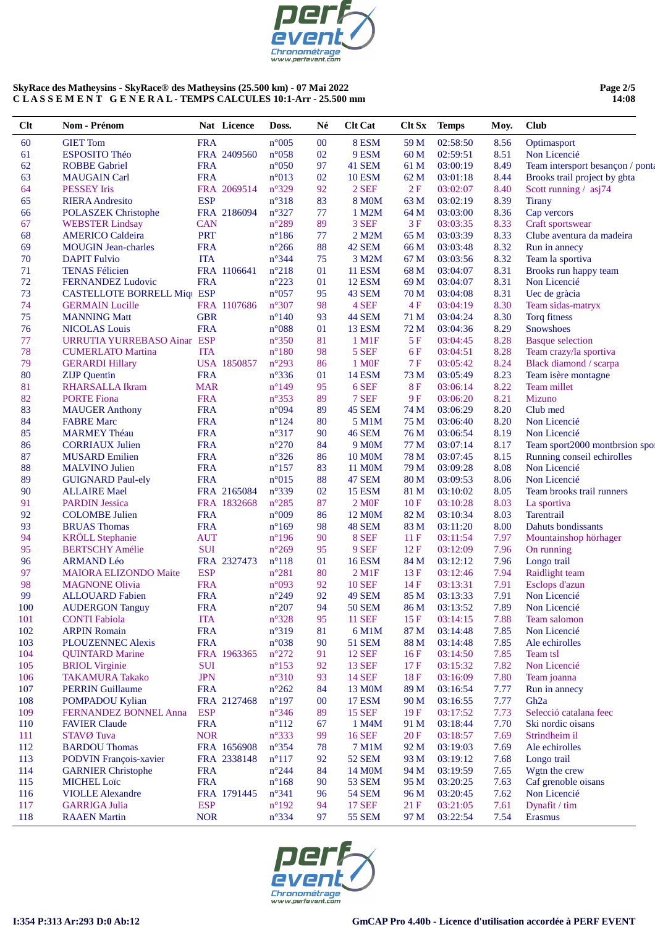

# **Page 2/5 14:08**

| $Cl$     | Nom - Prénom                                  |                          | Nat Licence | Doss.                            | Né       | <b>Clt Cat</b>         | $C$ It $Sx$  | <b>Temps</b>         | Moy.         | <b>Club</b>                                |
|----------|-----------------------------------------------|--------------------------|-------------|----------------------------------|----------|------------------------|--------------|----------------------|--------------|--------------------------------------------|
| 60       | <b>GIET Tom</b>                               | <b>FRA</b>               |             | $n^{\circ}005$                   | $00\,$   | 8 ESM                  | 59 M         | 02:58:50             | 8.56         | Optimasport                                |
| 61       | ESPOSITO Théo                                 |                          | FRA 2409560 | $n^{\circ}058$                   | 02       | 9 ESM                  | 60 M         | 02:59:51             | 8.51         | Non Licencié                               |
| 62       | <b>ROBBE Gabriel</b>                          | <b>FRA</b>               |             | $n^{\circ}050$                   | 97       | 41 SEM                 | 61 M         | 03:00:19             | 8.49         | Team intersport besançon / ponta           |
| 63       | <b>MAUGAIN Carl</b>                           | <b>FRA</b>               |             | n°013                            | 02       | <b>10 ESM</b>          | 62 M         | 03:01:18             | 8.44         | Brooks trail project by gbta               |
| 64       | <b>PESSEY</b> Iris                            |                          | FRA 2069514 | n°329                            | 92       | 2 SEF                  | 2F           | 03:02:07             | 8.40         | Scott running / asj74                      |
| 65       | <b>RIERA</b> Andresito                        | <b>ESP</b>               |             | $n^{\circ}318$                   | 83       | <b>8 MOM</b>           | 63 M         | 03:02:19             | 8.39         | <b>Tirany</b>                              |
| 66       | <b>POLASZEK Christophe</b>                    |                          | FRA 2186094 | $n^{\circ}327$                   | 77       | 1 M2M                  | 64 M         | 03:03:00             | 8.36         | Cap vercors                                |
| 67       | <b>WEBSTER Lindsay</b>                        | <b>CAN</b>               |             | n°289                            | 89       | 3 SEF                  | 3F           | 03:03:35             | 8.33         | Craft sportswear                           |
| 68       | <b>AMERICO Caldeira</b>                       | <b>PRT</b>               |             | $n^{\circ}186$                   | 77       | 2 M2M                  | 65 M         | 03:03:39             | 8.33         | Clube aventura da madeira                  |
| 69       | <b>MOUGIN</b> Jean-charles                    | <b>FRA</b>               |             | $n^{\circ}266$                   | 88       | 42 SEM                 | 66 M         | 03:03:48             | 8.32         | Run in annecy                              |
| 70       | <b>DAPIT Fulvio</b>                           | <b>ITA</b>               |             | $n^{\circ}344$                   | 75       | 3 M2M                  | 67 M         | 03:03:56             | 8.32         | Team la sportiva                           |
| 71       | <b>TENAS Félicien</b>                         |                          | FRA 1106641 | $n^{\circ}218$                   | 01       | <b>11 ESM</b>          | 68 M         | 03:04:07             | 8.31         | Brooks run happy team                      |
| 72       | <b>FERNANDEZ Ludovic</b>                      | <b>FRA</b>               |             | $n^{\circ}223$                   | 01       | <b>12 ESM</b>          | 69 M         | 03:04:07             | 8.31         | Non Licencié                               |
| 73       | <b>CASTELLOTE BORRELL Miq1 ESP</b>            |                          |             | $n^{\circ}057$                   | 95       | 43 SEM                 | 70 M         | 03:04:08             | 8.31         | Uec de gràcia                              |
| 74       | <b>GERMAIN</b> Lucille                        |                          | FRA 1107686 | $n^{\circ}307$                   | 98       | 4 SEF                  | 4F           | 03:04:19             | 8.30         | Team sidas-matryx                          |
| 75       | <b>MANNING Matt</b>                           | <b>GBR</b>               |             | $n^{\circ}140$                   | 93       | <b>44 SEM</b>          | 71 M         | 03:04:24             | 8.30         | Torq fitness                               |
| 76       | <b>NICOLAS Louis</b>                          | <b>FRA</b>               |             | $n^{\circ}088$                   | 01       | <b>13 ESM</b>          | 72 M         | 03:04:36             | 8.29         | <b>Snowshoes</b>                           |
| 77       | URRUTIA YURREBASO Ainar ESP                   |                          |             | $n^{\circ}350$                   | 81       | 1 M1F                  | 5F           | 03:04:45             | 8.28         | <b>Basque</b> selection                    |
| 78       | <b>CUMERLATO Martina</b>                      | <b>ITA</b>               |             | $n^{\circ}180$                   | 98       | 5 SEF                  | 6 F          | 03:04:51             | 8.28         | Team crazy/la sportiva                     |
| 79       | <b>GERARDI Hillary</b>                        |                          | USA 1850857 | $n^{\circ}293$                   | 86       | 1 M <sub>OF</sub>      | 7F           | 03:05:42             | 8.24         | Black diamond / scarpa                     |
| 80       |                                               | <b>FRA</b>               |             | $n^{\circ}336$                   | 01       | <b>14 ESM</b>          | 73 M         | 03:05:49             | 8.23         | Team isère montagne                        |
| 81       | <b>ZIJP</b> Quentin<br><b>RHARSALLA Ikram</b> | <b>MAR</b>               |             | $n^{\circ}149$                   | 95       | 6 SEF                  | 8F           | 03:06:14             | 8.22         | Team millet                                |
| 82       | <b>PORTE Fiona</b>                            | <b>FRA</b>               |             | $n^{\circ}353$                   | 89       | 7 SEF                  | 9F           | 03:06:20             | 8.21         | Mizuno                                     |
|          |                                               |                          |             |                                  |          |                        |              |                      |              |                                            |
| 83       | <b>MAUGER Anthony</b>                         | <b>FRA</b>               |             | n°094                            | 89       | 45 SEM                 | 74 M         | 03:06:29             | 8.20         | Club med<br>Non Licencié                   |
| 84       | <b>FABRE Marc</b>                             | <b>FRA</b>               |             | $n^{\circ}124$                   | 80       | 5 M1M                  | 75 M         | 03:06:40             | 8.20         |                                            |
| 85       | <b>MARMEY Théau</b>                           | <b>FRA</b>               |             | $n^{\circ}317$                   | 90       | <b>46 SEM</b>          | 76 M         | 03:06:54             | 8.19<br>8.17 | Non Licencié                               |
| 86<br>87 | <b>CORRIAUX Julien</b>                        | <b>FRA</b><br><b>FRA</b> |             | $n^{\circ}270$<br>$n^{\circ}326$ | 84<br>86 | 9 M <sub>0</sub> M     | 77 M<br>78 M | 03:07:14<br>03:07:45 | 8.15         | Team sport2000 montbrsion spor             |
| 88       | <b>MUSARD Emilien</b>                         | <b>FRA</b>               |             |                                  | 83       | 10 M <sub>0</sub> M    |              | 03:09:28             | 8.08         | Running conseil echirolles<br>Non Licencié |
|          | <b>MALVINO Julien</b>                         |                          |             | $n^{\circ}157$                   |          | 11 M <sub>0</sub> M    | 79 M         |                      |              |                                            |
| 89       | <b>GUIGNARD Paul-ely</b>                      | <b>FRA</b>               |             | $n^{\circ}015$                   | 88       | <b>47 SEM</b>          | 80 M         | 03:09:53             | 8.06         | Non Licencié                               |
| 90       | <b>ALLAIRE</b> Mael                           |                          | FRA 2165084 | n°339                            | 02       | <b>15 ESM</b>          | 81 M         | 03:10:02             | 8.05         | Team brooks trail runners                  |
| 91       | <b>PARDIN Jessica</b>                         |                          | FRA 1832668 | $n^{\circ}285$                   | 87       | 2 M <sub>OF</sub>      | 10F          | 03:10:28             | 8.03         | La sportiva                                |
| 92       | <b>COLOMBE Julien</b>                         | <b>FRA</b>               |             | $n^{\circ}009$                   | 86       | 12 M <sub>0</sub> M    | 82 M         | 03:10:34             | 8.03         | <b>Tarentrail</b>                          |
| 93       | <b>BRUAS</b> Thomas                           | <b>FRA</b>               |             | $n^{\circ}169$                   | 98       | 48 SEM                 | 83 M         | 03:11:20             | 8.00         | Dahuts bondissants                         |
| 94       | <b>KRÖLL</b> Stephanie                        | <b>AUT</b>               |             | $n^{\circ}196$                   | 90       | 8 SEF                  | 11F          | 03:11:54             | 7.97         | Mountainshop hörhager                      |
| 95       | <b>BERTSCHY Amélie</b>                        | <b>SUI</b>               |             | $n^{\circ}269$                   | 95       | 9 SEF                  | 12F          | 03:12:09             | 7.96         | On running                                 |
| 96       | <b>ARMAND Léo</b>                             |                          | FRA 2327473 | $n^{\circ}118$                   | 01       | <b>16 ESM</b>          | 84 M         | 03:12:12             | 7.96         | Longo trail                                |
| 97       | <b>MAIORA ELIZONDO Maite</b>                  | <b>ESP</b>               |             | $n^{\circ}281$                   | 80       | $2$ M <sub>1</sub> $F$ | 13F          | 03:12:46             | 7.94         | Raidlight team                             |
| 98       | <b>MAGNONE Olivia</b>                         | <b>FRA</b>               |             | $n^{\circ}093$                   | 92       | <b>10 SEF</b>          | 14F          | 03:13:31             | 7.91         | Esclops d'azun                             |
| 99       | <b>ALLOUARD</b> Fabien                        | <b>FRA</b>               |             | $n^{\circ}249$                   | 92       | 49 SEM                 | 85 M         | 03:13:33             | 7.91         | Non Licencié                               |
| 100      | <b>AUDERGON Tanguy</b>                        | <b>FRA</b>               |             | $n^{\circ}207$                   | 94       | <b>50 SEM</b>          | 86 M         | 03:13:52             | 7.89         | Non Licencié                               |
| 101      | <b>CONTI Fabiola</b>                          | <b>ITA</b>               |             | $n^{\circ}328$                   | 95       | <b>11 SEF</b>          | 15F          | 03:14:15             | 7.88         | Team salomon                               |
| 102      | <b>ARPIN Romain</b>                           | <b>FRA</b>               |             | n°319                            | 81       | 6 M1M                  | 87 M         | 03:14:48             | 7.85         | Non Licencié                               |
| 103      | <b>PLOUZENNEC Alexis</b>                      | <b>FRA</b>               |             | $n^{\circ}038$                   | 90       | <b>51 SEM</b>          | 88 M         | 03:14:48             | 7.85         | Ale echirolles                             |
| 104      | <b>QUINTARD Marine</b>                        |                          | FRA 1963365 | $n^{\circ}272$                   | 91       | <b>12 SEF</b>          | 16F          | 03:14:50             | 7.85         | Team tsl                                   |
| 105      | <b>BRIOL</b> Virginie                         | <b>SUI</b>               |             | $n^{\circ}153$                   | 92       | <b>13 SEF</b>          | 17F          | 03:15:32             | 7.82         | Non Licencié                               |
| 106      | <b>TAKAMURA Takako</b>                        | <b>JPN</b>               |             | $n^{\circ}310$                   | 93       | <b>14 SEF</b>          | 18F          | 03:16:09             | 7.80         | Team joanna                                |
| 107      | <b>PERRIN Guillaume</b>                       | <b>FRA</b>               |             | $n^{\circ}262$                   | 84       | 13 M0M                 | 89 M         | 03:16:54             | 7.77         | Run in annecy                              |
| 108      | <b>POMPADOU Kylian</b>                        |                          | FRA 2127468 | $n^{\circ}197$                   | 00       | <b>17 ESM</b>          | 90 M         | 03:16:55             | 7.77         | Gh <sub>2a</sub>                           |
| 109      | FERNANDEZ BONNEL Anna                         | <b>ESP</b>               |             | $n^{\circ}346$                   | 89       | <b>15 SEF</b>          | 19F          | 03:17:52             | 7.73         | Selecció catalana feec                     |
| 110      | <b>FAVIER Claude</b>                          | <b>FRA</b>               |             | $n^{\circ}112$                   | 67       | 1 M4M                  | 91 M         | 03:18:44             | 7.70         | Ski nordic oisans                          |
| 111      | STAVØ Tuva                                    | <b>NOR</b>               |             | $n^{\circ}333$                   | 99       | <b>16 SEF</b>          | 20F          | 03:18:57             | 7.69         | Strindheim il                              |
| 112      | <b>BARDOU Thomas</b>                          |                          | FRA 1656908 | $n^{\circ}354$                   | 78       | 7 M1M                  | 92 M         | 03:19:03             | 7.69         | Ale echirolles                             |
| 113      | <b>PODVIN François-xavier</b>                 |                          | FRA 2338148 | $n^{\circ}117$                   | 92       | <b>52 SEM</b>          | 93 M         | 03:19:12             | 7.68         | Longo trail                                |
| 114      | <b>GARNIER Christophe</b>                     | <b>FRA</b>               |             | $n^{\circ}244$                   | 84       | 14 M <sub>0</sub> M    | 94 M         | 03:19:59             | 7.65         | Wgtn the crew                              |
| 115      | <b>MICHEL Loïc</b>                            | <b>FRA</b>               |             | $n^{\circ}168$                   | 90       | <b>53 SEM</b>          | 95 M         | 03:20:25             | 7.63         | Caf grenoble oisans                        |
| 116      | <b>VIOLLE Alexandre</b>                       |                          | FRA 1791445 | $n^{\circ}341$                   | 96       | <b>54 SEM</b>          | 96 M         | 03:20:45             | 7.62         | Non Licencié                               |
| 117      | <b>GARRIGA Julia</b>                          | <b>ESP</b>               |             | $n^{\circ}192$                   | 94       | <b>17 SEF</b>          | 21F          | 03:21:05             | 7.61         | Dynafit / tim                              |
| 118      | <b>RAAEN</b> Martin                           | <b>NOR</b>               |             | $n^{\circ}334$                   | 97       | 55 SEM                 | 97 M         | 03:22:54             | 7.54         | <b>Erasmus</b>                             |

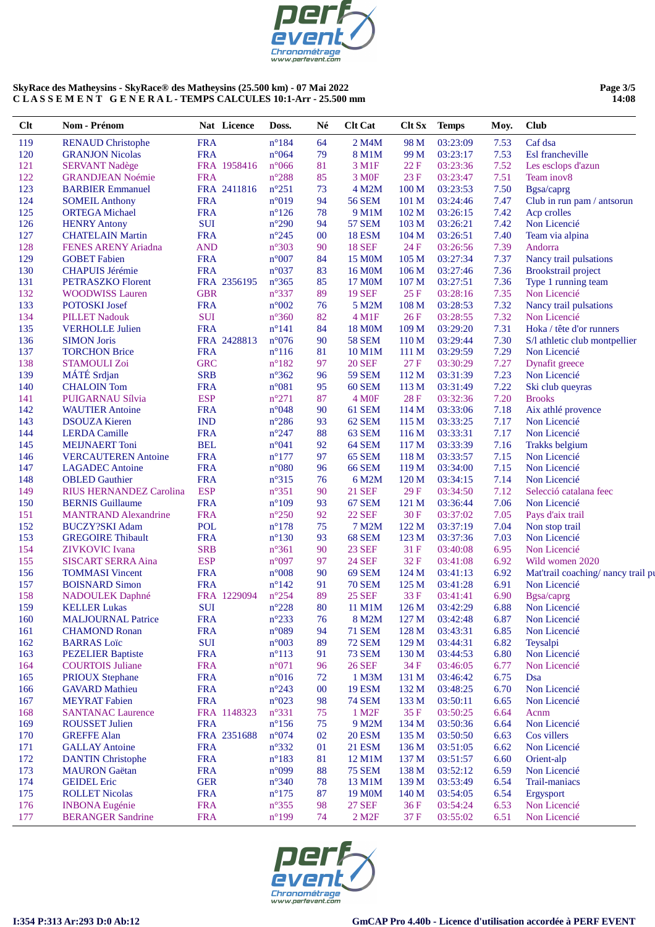

#### Page 3/5  $14:08$

| Clt        | Nom - Prénom                                   |                          | Nat Licence | Doss.                            | Né       | <b>Clt Cat</b>                 | Clt Sx           | <b>Temps</b>         | Moy.         | <b>Club</b>                       |
|------------|------------------------------------------------|--------------------------|-------------|----------------------------------|----------|--------------------------------|------------------|----------------------|--------------|-----------------------------------|
| 119        | <b>RENAUD Christophe</b>                       | <b>FRA</b>               |             | $n^{\circ}184$                   | 64       | 2 M4M                          | 98 M             | 03:23:09             | 7.53         | Caf dsa                           |
| 120        | <b>GRANJON Nicolas</b>                         | <b>FRA</b>               |             | $n^{\circ}064$                   | 79       | 8 M1M                          | 99 M             | 03:23:17             | 7.53         | Esl francheville                  |
| 121        | <b>SERVANT Nadège</b>                          |                          | FRA 1958416 | $n^{\circ}066$                   | 81       | 3 M1F                          | 22F              | 03:23:36             | 7.52         | Les esclops d'azun                |
| 122        | <b>GRANDJEAN Noémie</b>                        | <b>FRA</b>               |             | $n^{\circ}288$                   | 85       | 3 M <sub>OF</sub>              | 23 F             | 03:23:47             | 7.51         | Team inov8                        |
| 123        | <b>BARBIER Emmanuel</b>                        |                          | FRA 2411816 | $n^{\circ}251$                   | 73       | 4 M2M                          | 100 M            | 03:23:53             | 7.50         | Bgsa/caprg                        |
| 124        | <b>SOMEIL Anthony</b>                          | <b>FRA</b>               |             | n°019                            | 94       | <b>56 SEM</b>                  | 101 M            | 03:24:46             | 7.47         | Club in run pam / antsorun        |
| 125        | <b>ORTEGA</b> Michael                          | <b>FRA</b>               |             | $n^{\circ}126$                   | 78       | 9 M1M                          | 102 M            | 03:26:15             | 7.42         | Acp crolles                       |
| 126        | <b>HENRY Antony</b>                            | <b>SUI</b>               |             | $n^{\circ}290$                   | 94       | <b>57 SEM</b>                  | 103 <sub>M</sub> | 03:26:21             | 7.42         | Non Licencié                      |
| 127        | <b>CHATELAIN Martin</b>                        | <b>FRA</b>               |             | $n^{\circ}245$                   | $00\,$   | <b>18 ESM</b>                  | 104 <sub>M</sub> | 03:26:51             | 7.40         | Team via alpina                   |
| 128        | <b>FENES ARENY Ariadna</b>                     | <b>AND</b>               |             | n°303                            | 90       | <b>18 SEF</b>                  | 24 F             | 03:26:56             | 7.39         | Andorra                           |
| 129        | <b>GOBET</b> Fabien                            | <b>FRA</b>               |             | $n^{\circ}007$                   | 84       | 15 M <sub>0</sub> M            | 105 M            | 03:27:34             | 7.37         | Nancy trail pulsations            |
| 130        | <b>CHAPUIS Jérémie</b>                         | <b>FRA</b>               |             | n°037                            | 83       | 16 M0M                         | 106 <sub>M</sub> | 03:27:46             | 7.36         | <b>Brookstrail</b> project        |
| 131        | <b>PETRASZKO Florent</b>                       |                          | FRA 2356195 | $n^{\circ}365$                   | 85       | 17 M0M                         | 107 <sub>M</sub> | 03:27:51             | 7.36         | Type 1 running team               |
| 132        | <b>WOODWISS Lauren</b>                         | <b>GBR</b>               |             | n°337                            | 89       | <b>19 SEF</b>                  | 25F              | 03:28:16             | 7.35         | Non Licencié                      |
| 133        | POTOSKI Josef                                  | <b>FRA</b>               |             | $n^{\circ}002$                   | 76       | 5 M2M                          | 108 M            | 03:28:53             | 7.32         | Nancy trail pulsations            |
| 134        | <b>PILLET Nadouk</b>                           | <b>SUI</b>               |             | $n^{\circ}360$                   | 82       | $4$ M1F                        | 26F              | 03:28:55             | 7.32         | Non Licencié                      |
| 135        | <b>VERHOLLE Julien</b>                         | <b>FRA</b>               |             | $n^{\circ}141$                   | 84       | <b>18 MOM</b>                  | 109 M            | 03:29:20             | 7.31         | Hoka / tête d'or runners          |
| 136        | <b>SIMON Joris</b>                             |                          | FRA 2428813 | $n^{\circ}076$                   | 90       | <b>58 SEM</b>                  | 110 M            | 03:29:44             | 7.30         | S/l athletic club montpellier     |
| 137        | <b>TORCHON Brice</b>                           | <b>FRA</b>               |             | $n^{\circ}116$                   | 81       | 10 M1M                         | 111 <sub>M</sub> | 03:29:59             | 7.29         | Non Licencié                      |
| 138        | <b>STAMOULI Zoi</b>                            | <b>GRC</b>               |             | $n^{\circ}182$                   | 97       | <b>20 SEF</b>                  | 27 F             | 03:30:29             | 7.27         | Dynafit greece                    |
| 139        | MÁTÉ Srdjan                                    | <b>SRB</b>               |             | $n^{\circ}362$                   | 96       | <b>59 SEM</b>                  | 112 M            | 03:31:39             | 7.23         | Non Licencié                      |
| 140        | <b>CHALOIN</b> Tom                             | <b>FRA</b>               |             | $n^{\circ}081$                   | 95       | 60 SEM                         | 113 M            | 03:31:49             | 7.22         | Ski club queyras                  |
| 141        | PUIGARNAU Sílvia                               | <b>ESP</b>               |             | $n^{\circ}271$                   | 87       | 4 M <sub>OF</sub>              | <b>28F</b>       | 03:32:36             | 7.20         | <b>Brooks</b>                     |
| 142        | <b>WAUTIER Antoine</b>                         | <b>FRA</b>               |             | n°048                            | 90       | 61 SEM                         | 114M             | 03:33:06             | 7.18         | Aix athlé provence                |
| 143        | <b>DSOUZA Kieren</b>                           | <b>IND</b>               |             | $n^{\circ}286$                   | 93       | 62 SEM                         | 115 M            | 03:33:25             | 7.17         | Non Licencié                      |
| 144        | <b>LERDA</b> Camille                           | <b>FRA</b>               |             | $n^{\circ}247$                   | 88       | 63 SEM                         | 116M             | 03:33:31             | 7.17         | Non Licencié                      |
| 145        | <b>MEIJNAERT</b> Toni                          | <b>BEL</b>               |             | n°041                            | 92       | 64 SEM                         | 117 <sub>M</sub> | 03:33:39             | 7.16         | <b>Trakks</b> belgium             |
| 146        | <b>VERCAUTEREN Antoine</b>                     | <b>FRA</b>               |             | $n^{\circ}177$                   | 97       | 65 SEM                         | 118 M            | 03:33:57             | 7.15         | Non Licencié                      |
| 147        | <b>LAGADEC</b> Antoine                         | <b>FRA</b>               |             | $n^{\circ}080$                   | 96       | <b>66 SEM</b>                  | 119 M            | 03:34:00             | 7.15         | Non Licencié                      |
| 148        | <b>OBLED</b> Gauthier                          | <b>FRA</b>               |             | $n^{\circ}315$                   | 76       | 6 M2M                          | 120 M            | 03:34:15             | 7.14         | Non Licencié                      |
| 149        | RIUS HERNANDEZ Carolina                        | <b>ESP</b>               |             | $n^{\circ}351$                   | 90       | <b>21 SEF</b>                  | 29 F             | 03:34:50             | 7.12         | Selecció catalana feec            |
| 150        | <b>BERNIS</b> Guillaume                        | <b>FRA</b>               |             | $n^{\circ}109$                   | 93       | 67 SEM                         | 121 M            | 03:36:44             | 7.06         | Non Licencié                      |
| 151        | <b>MANTRAND</b> Alexandrine                    | <b>FRA</b>               |             | $n^{\circ}250$                   | 92       | <b>22 SEF</b>                  | 30 F             | 03:37:02             | 7.05         | Pays d'aix trail                  |
| 152        | <b>BUCZY?SKI Adam</b>                          | <b>POL</b>               |             | $n^{\circ}178$                   | 75       | 7 M2M                          | 122 M            | 03:37:19             | 7.04         | Non stop trail                    |
| 153        | <b>GREGOIRE Thibault</b>                       | <b>FRA</b>               |             | $n^{\circ}130$                   | 93       | 68 SEM                         | 123 M            | 03:37:36             | 7.03         | Non Licencié                      |
| 154        | <b>ZIVKOVIC</b> Ivana                          | <b>SRB</b>               |             | $n^{\circ}361$                   | 90       | <b>23 SEF</b>                  | 31 F             | 03:40:08             | 6.95         | Non Licencié                      |
| 155        | <b>SISCART SERRA Aina</b>                      | <b>ESP</b>               |             | n°097                            | 97       | <b>24 SEF</b>                  | 32F              | 03:41:08             | 6.92         | Wild women 2020                   |
| 156        | <b>TOMMASI</b> Vincent                         | <b>FRA</b>               |             | $n^{\circ}008$                   | 90       | 69 SEM                         | 124 M            | 03:41:13             | 6.92         | Mat'trail coaching/ nancy trail p |
| 157        | <b>BOISNARD Simon</b>                          | <b>FRA</b>               |             | $n^{\circ}142$                   | 91       | <b>70 SEM</b>                  | 125 M            | 03:41:28             | 6.91         | Non Licencié                      |
| 158        | <b>NADOULEK</b> Daphné                         |                          | FRA 1229094 | $n^{\circ}254$<br>$n^{\circ}228$ | 89       | <b>25 SEF</b>                  | 33 F             | 03:41:41             | 6.90         | Bgsa/caprg                        |
| 159        | <b>KELLER Lukas</b>                            | SUI                      |             |                                  | 80       | 11 M1M                         | 126 <sub>M</sub> | 03:42:29             | 6.88         | Non Licencié                      |
| 160        | <b>MALJOURNAL Patrice</b>                      | <b>FRA</b>               |             | $n^{\circ}233$                   | 76       | 8 M2M                          | 127 M            | 03:42:48             | 6.87         | Non Licencié<br>Non Licencié      |
| 161        | <b>CHAMOND Ronan</b>                           | <b>FRA</b><br><b>SUI</b> |             | n°089                            | 94<br>89 | <b>71 SEM</b>                  | 128 M            | 03:43:31<br>03:44:31 | 6.85         |                                   |
| 162        | <b>BARRAS</b> Loïc<br><b>PEZELIER Baptiste</b> | <b>FRA</b>               |             | $n^{\circ}003$                   |          | <b>72 SEM</b><br><b>73 SEM</b> | 129 M            |                      | 6.82<br>6.80 | Teysalpi<br>Non Licencié          |
| 163<br>164 | <b>COURTOIS Juliane</b>                        | <b>FRA</b>               |             | $n^{\circ}113$<br>$n^{\circ}071$ | 91<br>96 | <b>26 SEF</b>                  | 130 M<br>34 F    | 03:44:53             | 6.77         | Non Licencié                      |
| 165        | <b>PRIOUX Stephane</b>                         | <b>FRA</b>               |             | $n^{\circ}016$                   | 72       | 1 M3M                          | 131 M            | 03:46:05<br>03:46:42 | 6.75         | Dsa                               |
| 166        | <b>GAVARD Mathieu</b>                          | <b>FRA</b>               |             | $n^{\circ}243$                   | $00\,$   | <b>19 ESM</b>                  | 132 M            | 03:48:25             | 6.70         | Non Licencié                      |
| 167        | <b>MEYRAT</b> Fabien                           | <b>FRA</b>               |             | $n^{\circ}023$                   | 98       | <b>74 SEM</b>                  | 133 M            | 03:50:11             | 6.65         | Non Licencié                      |
| 168        | <b>SANTANAC Laurence</b>                       |                          | FRA 1148323 | n°331                            | 75       | 1 M <sub>2</sub> F             | 35F              | 03:50:25             | 6.64         | Acnm                              |
| 169        | <b>ROUSSET Julien</b>                          | <b>FRA</b>               |             | $n^{\circ}156$                   | 75       | 9 M2M                          | 134 M            | 03:50:36             | 6.64         | Non Licencié                      |
| 170        | <b>GREFFE Alan</b>                             |                          | FRA 2351688 | n°074                            | 02       | <b>20 ESM</b>                  | 135 M            | 03:50:50             | 6.63         | Cos villers                       |
| 171        | <b>GALLAY Antoine</b>                          | <b>FRA</b>               |             | $n^{\circ}332$                   | 01       | <b>21 ESM</b>                  | 136 M            | 03:51:05             | 6.62         | Non Licencié                      |
| 172        | <b>DANTIN Christophe</b>                       | <b>FRA</b>               |             | $n^{\circ}183$                   | 81       | 12 M1M                         | 137 M            | 03:51:57             | 6.60         | Orient-alp                        |
| 173        | <b>MAURON</b> Gaëtan                           | <b>FRA</b>               |             | n°099                            | 88       | <b>75 SEM</b>                  | 138 M            | 03:52:12             | 6.59         | Non Licencié                      |
| 174        | <b>GEIDEL Eric</b>                             | <b>GER</b>               |             | $n^{\circ}340$                   | 78       | 13 M1M                         | 139 M            | 03:53:49             | 6.54         | Trail-maniacs                     |
| 175        | <b>ROLLET Nicolas</b>                          | <b>FRA</b>               |             | $n^{\circ}175$                   | 87       | 19 M0M                         | 140 <sub>M</sub> | 03:54:05             | 6.54         | Ergysport                         |
| 176        | <b>INBONA</b> Eugénie                          | <b>FRA</b>               |             | $n^{\circ}355$                   | 98       | <b>27 SEF</b>                  | 36 F             | 03:54:24             | 6.53         | Non Licencié                      |
| 177        | <b>BERANGER Sandrine</b>                       | <b>FRA</b>               |             | $n^{\circ}$ 199                  | 74       | 2 M <sub>2</sub> F             | 37 F             | 03:55:02             | 6.51         | Non Licencié                      |
|            |                                                |                          |             |                                  |          |                                |                  |                      |              |                                   |

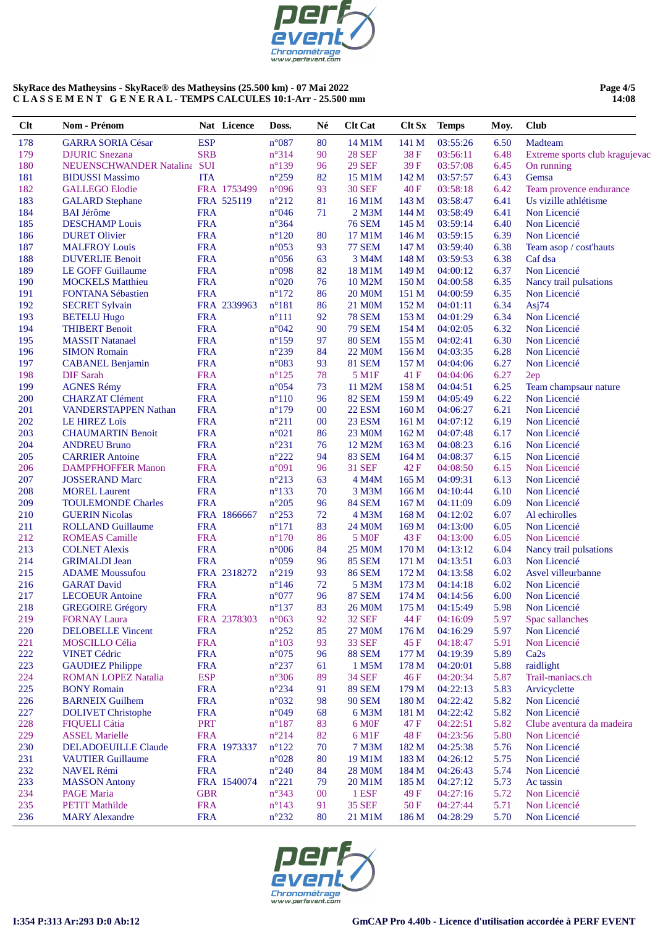

#### **Page 4/5 14:08**

| $Cl$ t     | Nom - Prénom                                   |            | Nat Licence | Doss.                            | Né       | <b>Clt Cat</b>                 | Clt Sx        | <b>Temps</b>         | Moy.         | <b>Club</b>                    |
|------------|------------------------------------------------|------------|-------------|----------------------------------|----------|--------------------------------|---------------|----------------------|--------------|--------------------------------|
| 178        | <b>GARRA SORIA César</b>                       | <b>ESP</b> |             | $n^{\circ}087$                   | 80       | 14 M1M                         | 141 M         | 03:55:26             | 6.50         | Madteam                        |
| 179        | <b>DJURIC</b> Snezana                          | <b>SRB</b> |             | n°314                            | 90       | <b>28 SEF</b>                  | 38F           | 03:56:11             | 6.48         | Extreme sports club kragujevac |
| 180        | NEUENSCHWANDER Natalina SUI                    |            |             | $n^{\circ}139$                   | 96       | <b>29 SEF</b>                  | 39 F          | 03:57:08             | 6.45         | On running                     |
| 181        | <b>BIDUSSI Massimo</b>                         | <b>ITA</b> |             | $n^{\circ}259$                   | 82       | 15 M1M                         | 142 M         | 03:57:57             | 6.43         | Gemsa                          |
| 182        | <b>GALLEGO Elodie</b>                          |            | FRA 1753499 | n°096                            | 93       | <b>30 SEF</b>                  | 40 F          | 03:58:18             | 6.42         | Team provence endurance        |
| 183        | <b>GALARD</b> Stephane                         |            | FRA 525119  | $n^{\circ}212$                   | 81       | 16 M1M                         | 143 M         | 03:58:47             | 6.41         | Us vizille athlétisme          |
| 184        | <b>BAI Jérôme</b>                              | <b>FRA</b> |             | $n^{\circ}046$                   | 71       | 2 M3M                          | 144 M         | 03:58:49             | 6.41         | Non Licencié                   |
| 185        | <b>DESCHAMP</b> Louis                          | <b>FRA</b> |             | $n^{\circ}364$                   |          | <b>76 SEM</b>                  | 145 M         | 03:59:14             | 6.40         | Non Licencié                   |
| 186        | <b>DURET Olivier</b>                           | <b>FRA</b> |             | $n^{\circ}120$                   | 80       | 17 M1M                         | 146 M         | 03:59:15             | 6.39         | Non Licencié                   |
| 187        | <b>MALFROY Louis</b>                           | <b>FRA</b> |             | $n^{\circ}053$                   | 93       | <b>77 SEM</b>                  | 147 M         | 03:59:40             | 6.38         | Team asop / cost'hauts         |
| 188        | <b>DUVERLIE Benoit</b>                         | <b>FRA</b> |             | $n^{\circ}056$                   | 63       | 3 M4M                          | 148 M         | 03:59:53             | 6.38         | Caf dsa                        |
| 189        | <b>LE GOFF Guillaume</b>                       | <b>FRA</b> |             | n°098                            | 82       | 18 M1M                         | 149 M         | 04:00:12             | 6.37         | Non Licencié                   |
| 190        | <b>MOCKELS Matthieu</b>                        | <b>FRA</b> |             | $n^{\circ}020$                   | 76       | 10 M2M                         | 150 M         | 04:00:58             | 6.35         | Nancy trail pulsations         |
| 191        | <b>FONTANA Sébastien</b>                       | <b>FRA</b> |             | $n^{\circ}172$                   | 86       | <b>20 M0M</b>                  | 151 M         | 04:00:59             | 6.35         | Non Licencié                   |
| 192        | <b>SECRET Sylvain</b>                          |            | FRA 2339963 | $n^{\circ}181$                   | 86       | 21 M <sub>0</sub> M            | 152 M         | 04:01:11             | 6.34         | Asj74                          |
| 193        | <b>BETELU Hugo</b>                             | <b>FRA</b> |             | $n^{\circ}111$                   | 92       | <b>78 SEM</b>                  | 153 M         | 04:01:29             | 6.34         | Non Licencié                   |
| 194        | <b>THIBERT Benoit</b>                          | <b>FRA</b> |             | $n^{\circ}042$                   | 90       | <b>79 SEM</b>                  | 154 M         | 04:02:05             | 6.32         | Non Licencié                   |
| 195        | <b>MASSIT Natanael</b>                         | <b>FRA</b> |             | $n^{\circ}159$                   | 97       | <b>80 SEM</b>                  | 155 M         | 04:02:41             | 6.30         | Non Licencié                   |
| 196        | <b>SIMON Romain</b>                            | <b>FRA</b> |             | $n^{\circ}239$                   | 84       | 22 M <sub>0</sub> M            | 156 M         | 04:03:35             | 6.28         | Non Licencié                   |
| 197        | <b>CABANEL Benjamin</b>                        | <b>FRA</b> |             | $n^{\circ}083$                   | 93       | <b>81 SEM</b>                  | 157 M         | 04:04:06             | 6.27         | Non Licencié                   |
| 198        | <b>DIF</b> Sarah                               | <b>FRA</b> |             | $n^{\circ}125$                   | 78       | 5 M1F                          | 41 F          | 04:04:06             | 6.27         | 2ep                            |
| 199        | <b>AGNES Rémy</b>                              | <b>FRA</b> |             | $n^{\circ}054$                   | 73       | 11 M2M                         | 158 M         | 04:04:51             | 6.25         | Team champsaur nature          |
| 200        | <b>CHARZAT</b> Clément                         | <b>FRA</b> |             | $n^{\circ}110$                   | 96       | <b>82 SEM</b>                  | 159 M         | 04:05:49             | 6.22         | Non Licencié                   |
| 201        | <b>VANDERSTAPPEN Nathan</b>                    | <b>FRA</b> |             | $n^{\circ}179$                   | 00       | <b>22 ESM</b>                  | 160 M         | 04:06:27             | 6.21         | Non Licencié                   |
| 202        | <b>LE HIREZ Loïs</b>                           | <b>FRA</b> |             | $n^{\circ}211$                   | 00       | <b>23 ESM</b>                  | 161 M         | 04:07:12             | 6.19         | Non Licencié                   |
| 203        | <b>CHAUMARTIN Benoit</b>                       | <b>FRA</b> |             | $n^{\circ}021$                   | 86       | 23 M <sub>0</sub> M            | 162 M         | 04:07:48             | 6.17         | Non Licencié                   |
| 204        | <b>ANDREU Bruno</b>                            | <b>FRA</b> |             | $n^{\circ}231$                   | 76       | 12 M2M                         | 163 M         | 04:08:23             | 6.16         | Non Licencié                   |
| 205        | <b>CARRIER Antoine</b>                         | <b>FRA</b> |             | $n^{\circ}222$                   | 94       | <b>83 SEM</b>                  | 164 M         | 04:08:37             | 6.15         | Non Licencié                   |
| 206        | <b>DAMPFHOFFER Manon</b>                       | <b>FRA</b> |             | n°091                            | 96       | <b>31 SEF</b>                  | 42 F          | 04:08:50             | 6.15         | Non Licencié                   |
| 207        | <b>JOSSERAND Marc</b>                          | <b>FRA</b> |             | $n^{\circ}213$                   | 63       | 4 M4M                          | 165 M         | 04:09:31             | 6.13         | Non Licencié                   |
| 208        | <b>MOREL Laurent</b>                           | <b>FRA</b> |             | $n^{\circ}133$                   | 70       | 3 M3M                          | 166 M         | 04:10:44             | 6.10         | Non Licencié                   |
| 209        | <b>TOULEMONDE Charles</b>                      | <b>FRA</b> |             | $n^{\circ}205$                   | 96       | <b>84 SEM</b>                  | 167 M         | 04:11:09             | 6.09         | Non Licencié                   |
| 210        | <b>GUERIN Nicolas</b>                          |            | FRA 1866667 | $n^{\circ}253$                   | 72       | 4 M3M                          | 168 M         | 04:12:02             | 6.07         | Al echirolles                  |
| 211        | <b>ROLLAND Guillaume</b>                       | <b>FRA</b> |             | $n^{\circ}171$                   | 83       | 24 M <sub>0</sub> M            | 169 M         | 04:13:00             | 6.05         | Non Licencié                   |
| 212        | <b>ROMEAS</b> Camille                          | <b>FRA</b> |             | $n^{\circ}170$                   | 86       | 5 M <sub>OF</sub>              | 43 F          | 04:13:00             | 6.05         | Non Licencié                   |
| 213        | <b>COLNET Alexis</b>                           | <b>FRA</b> |             | $n^{\circ}006$                   | 84       | 25 M0M                         | 170 M         | 04:13:12             | 6.04         | Nancy trail pulsations         |
| 214        | <b>GRIMALDI</b> Jean                           | <b>FRA</b> |             | $n^{\circ}059$                   | 96       | <b>85 SEM</b>                  | 171 M         | 04:13:51             | 6.03         | Non Licencié                   |
| 215        | <b>ADAME</b> Moussufou                         |            | FRA 2318272 | $n^{\circ}219$                   | 93       | <b>86 SEM</b>                  | 172 M         | 04:13:58             | 6.02         | Asvel villeurbanne             |
| 216        | <b>GARAT David</b>                             | <b>FRA</b> |             | $n^{\circ}146$                   | 72       | 5 M3M                          | 173 M         | 04:14:18             | 6.02         | Non Licencié                   |
| 217<br>218 | <b>LECOEUR</b> Antoine                         | <b>FRA</b> |             | $n^{\circ}077$<br>$n^{\circ}137$ | 96<br>83 | <b>87 SEM</b>                  | 174 M         | 04:14:56             | 6.00<br>5.98 | Non Licencié<br>Non Licencié   |
|            | <b>GREGOIRE Grégory</b><br><b>FORNAY Laura</b> | <b>FRA</b> |             |                                  |          | <b>26 MOM</b><br><b>32 SEF</b> | 175 M<br>44 F | 04:15:49<br>04:16:09 |              | Spac sallanches                |
| 219<br>220 | <b>DELOBELLE Vincent</b>                       | <b>FRA</b> | FRA 2378303 | $n^{\circ}063$<br>$n^{\circ}252$ | 92<br>85 | 27 M0M                         | 176 M         | 04:16:29             | 5.97<br>5.97 | Non Licencié                   |
| 221        | <b>MOSCILLO Célia</b>                          | <b>FRA</b> |             | $n^{\circ}103$                   | 93       | <b>33 SEF</b>                  | 45 F          | 04:18:47             | 5.91         | Non Licencié                   |
| 222        | <b>VINET Cédric</b>                            | <b>FRA</b> |             | $n^{\circ}075$                   | 96       | <b>88 SEM</b>                  | 177 M         | 04:19:39             | 5.89         | Ca <sub>2s</sub>               |
| 223        | <b>GAUDIEZ Philippe</b>                        | <b>FRA</b> |             | $n^{\circ}237$                   | 61       | 1 M5M                          | 178 M         | 04:20:01             | 5.88         | raidlight                      |
| 224        | <b>ROMAN LOPEZ Natalia</b>                     | <b>ESP</b> |             | $n^{\circ}306$                   | 89       | <b>34 SEF</b>                  | 46 F          | 04:20:34             | 5.87         | Trail-maniacs.ch               |
| 225        | <b>BONY Romain</b>                             | <b>FRA</b> |             | $n^{\circ}234$                   | 91       | <b>89 SEM</b>                  | 179 M         | 04:22:13             | 5.83         | Arvicyclette                   |
| 226        | <b>BARNEIX Guilhem</b>                         | <b>FRA</b> |             | n°032                            | 98       | <b>90 SEM</b>                  | 180 M         | 04:22:42             | 5.82         | Non Licencié                   |
| 227        | <b>DOLIVET Christophe</b>                      | <b>FRA</b> |             | n°049                            | 68       | 6 M3M                          | 181 M         | 04:22:42             | 5.82         | Non Licencié                   |
| 228        | <b>FIQUELI Cátia</b>                           | <b>PRT</b> |             | $n^{\circ}187$                   | 83       | 6 M <sub>OF</sub>              | 47 F          | 04:22:51             | 5.82         | Clube aventura da madeira      |
| 229        | <b>ASSEL Marielle</b>                          | <b>FRA</b> |             | $n^{\circ}214$                   | 82       | 6 M1F                          | 48 F          | 04:23:56             | 5.80         | Non Licencié                   |
| 230        | <b>DELADOEUILLE Claude</b>                     |            | FRA 1973337 | $n^{\circ}122$                   | 70       | 7 M3M                          | 182 M         | 04:25:38             | 5.76         | Non Licencié                   |
| 231        | <b>VAUTIER Guillaume</b>                       | <b>FRA</b> |             | $n^{\circ}028$                   | 80       | 19 M1M                         | 183 M         | 04:26:12             | 5.75         | Non Licencié                   |
| 232        | <b>NAVEL Rémi</b>                              | <b>FRA</b> |             | $n^{\circ}240$                   | 84       | <b>28 MOM</b>                  | 184 M         | 04:26:43             | 5.74         | Non Licencié                   |
| 233        | <b>MASSON</b> Antony                           |            | FRA 1540074 | $n^{\circ}221$                   | 79       | 20 M1M                         | 185 M         | 04:27:12             | 5.73         | Ac tassin                      |
| 234        | PAGE Maria                                     | <b>GBR</b> |             | n°343                            | 00       | 1 ESF                          | 49 F          | 04:27:16             | 5.72         | Non Licencié                   |
| 235        | <b>PETIT Mathilde</b>                          | <b>FRA</b> |             | $n^{\circ}143$                   | 91       | <b>35 SEF</b>                  | 50 F          | 04:27:44             | 5.71         | Non Licencié                   |
| 236        | <b>MARY Alexandre</b>                          | <b>FRA</b> |             | $n^{\circ}232$                   | 80       | 21 M1M                         | 186 M         | 04:28:29             | 5.70         | Non Licencié                   |